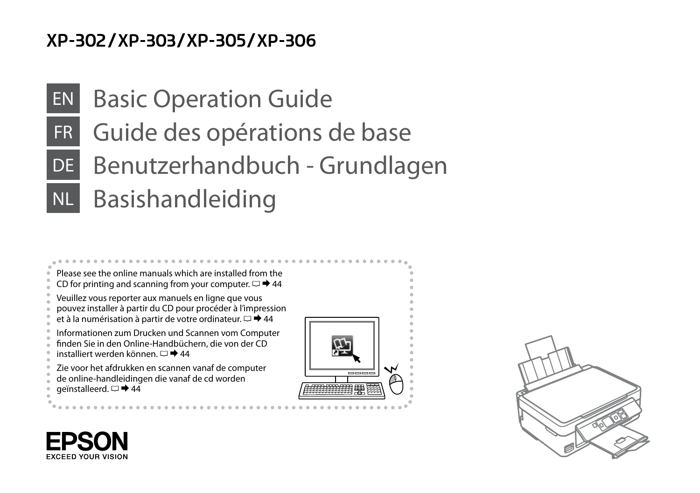## XP-302/XP-303/XP-305/XP-306

# EN Basic Operation Guide

- FR Guide des opérations de base
- DE Benutzerhandbuch Grundlagen
- NL Basishandleiding





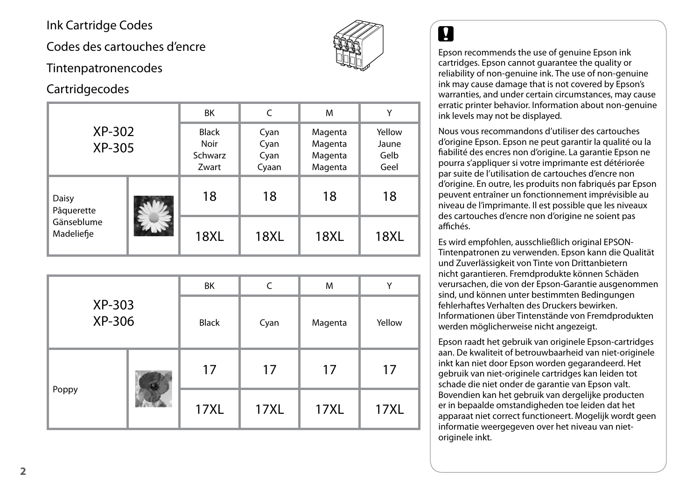<span id="page-1-0"></span>Ink Cartridge Codes

Codes des cartouches d'encre

#### Tintenpatronencodes

### **Cartridgecodes**

|                          |  | BK                                              | C                             | M                                        | Υ                               |
|--------------------------|--|-------------------------------------------------|-------------------------------|------------------------------------------|---------------------------------|
| XP-302<br>XP-305         |  | <b>Black</b><br><b>Noir</b><br>Schwarz<br>Zwart | Cyan<br>Cyan<br>Cyan<br>Cyaan | Magenta<br>Magenta<br>Magenta<br>Magenta | Yellow<br>Jaune<br>Gelb<br>Geel |
| Daisy<br>Pâquerette      |  | 18                                              | 18                            | 18                                       | 18                              |
| Gänseblume<br>Madeliefie |  | <b>18XL</b>                                     | <b>18XL</b>                   | <b>18XL</b>                              | <b>18XL</b>                     |

|                  |  | BK          | C           | M           | Υ           |
|------------------|--|-------------|-------------|-------------|-------------|
| XP-303<br>XP-306 |  | Black       | Cyan        | Magenta     | Yellow      |
|                  |  | 17          | 17          | 17          | 17          |
| Poppy            |  | <b>17XL</b> | <b>17XL</b> | <b>17XL</b> | <b>17XL</b> |



Epson recommends the use of genuine Epson ink cartridges. Epson cannot guarantee the quality or reliability of non-genuine ink. The use of non-genuine ink may cause damage that is not covered by Epson's warranties, and under certain circumstances, may cause erratic printer behavior. Information about non-genuine ink levels may not be displayed.

Nous vous recommandons d'utiliser des cartouches d'origine Epson. Epson ne peut garantir la qualité ou la fiabilité des encres non d'origine. La garantie Epson ne pourra s'appliquer si votre imprimante est détériorée par suite de l'utilisation de cartouches d'encre non d'origine. En outre, les produits non fabriqués par Epson peuvent entraîner un fonctionnement imprévisible au niveau de l'imprimante. Il est possible que les niveaux des cartouches d'encre non d'origine ne soient pas affichés. **Example 18**<br>Epson recommatridges. Ep<br>reliability of nix<br>ink may cause warranties, an<br>erratic printer ink levels may<br>Nous vous ree<br>d'origine Epsofiabilité des en<br>pourra s'appli<br>par suite de l' d'origine. En c<br>pouvent entra

Es wird empfohlen, ausschließlich original EPSON-Tintenpatronen zu verwenden. Epson kann die Qualität und Zuverlässigkeit von Tinte von Drittanbietern nicht garantieren. Fremdprodukte können Schäden verursachen, die von der Epson-Garantie ausgenommen sind, und können unter bestimmten Bedingungen fehlerhaftes Verhalten des Druckers bewirken. Informationen über Tintenstände von Fremdprodukten werden möglicherweise nicht angezeigt.

Epson raadt het gebruik van originele Epson-cartridges aan. De kwaliteit of betrouwbaarheid van niet-originele inkt kan niet door Epson worden gegarandeerd. Het gebruik van niet-originele cartridges kan leiden tot schade die niet onder de garantie van Epson valt. Bovendien kan het gebruik van dergelijke producten er in bepaalde omstandigheden toe leiden dat het apparaat niet correct functioneert. Mogelijk wordt geen informatie weergegeven over het niveau van nietoriginele inkt.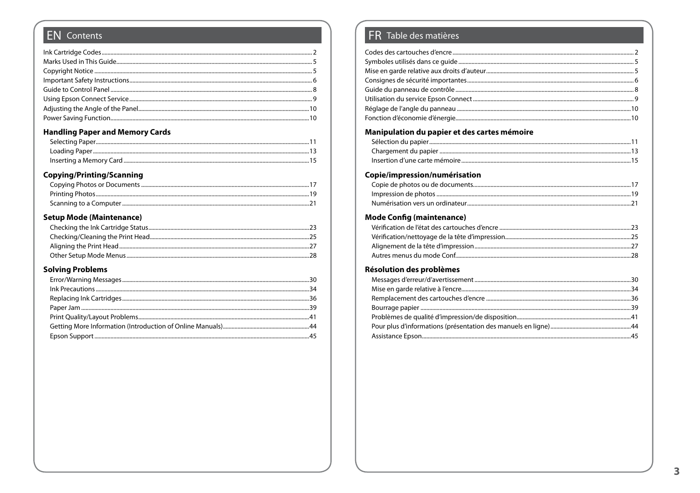#### **EN** Contents

#### **Handling Paper and Memory Cards**

#### **Copying/Printing/Scanning**

#### **Setup Mode (Maintenance)**

#### **Solving Problems**

#### FR Table des matières

| Manipulation du papier et des cartes mémoire |  |
|----------------------------------------------|--|
|                                              |  |
|                                              |  |
|                                              |  |
| Copie/impression/numérisation                |  |
| <b>Mode Config (maintenance)</b>             |  |
|                                              |  |
|                                              |  |
|                                              |  |
|                                              |  |
| Résolution des problèmes                     |  |
|                                              |  |
|                                              |  |
|                                              |  |
|                                              |  |
|                                              |  |
|                                              |  |
|                                              |  |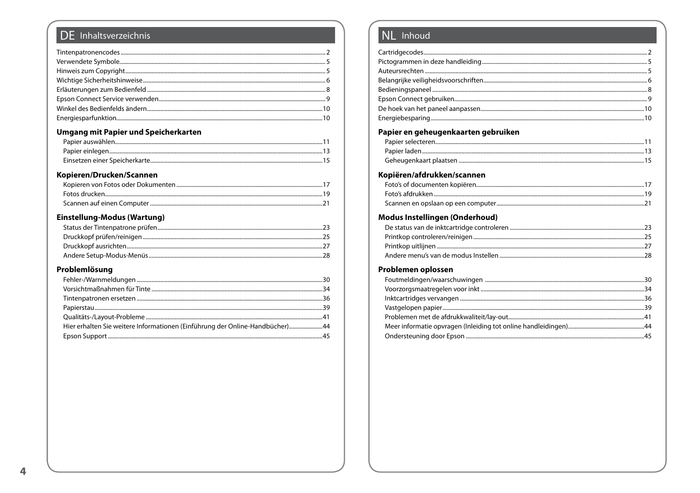### DE Inhaltsverzeichnis

#### Umgang mit Papier und Speicherkarten

#### Kopieren/Drucken/Scannen

#### Einstellung-Modus (Wartung)

#### Problemlösung

#### NL Inhoud

| Papier en geheugenkaarten gebruiken |  |
|-------------------------------------|--|
|                                     |  |
|                                     |  |
|                                     |  |
| Kopiëren/afdrukken/scannen          |  |
|                                     |  |
|                                     |  |
|                                     |  |
| Modus Instellingen (Onderhoud)      |  |
|                                     |  |
|                                     |  |
|                                     |  |
|                                     |  |
|                                     |  |
| Problemen oplossen                  |  |
|                                     |  |
|                                     |  |
|                                     |  |
|                                     |  |
|                                     |  |
|                                     |  |
|                                     |  |
|                                     |  |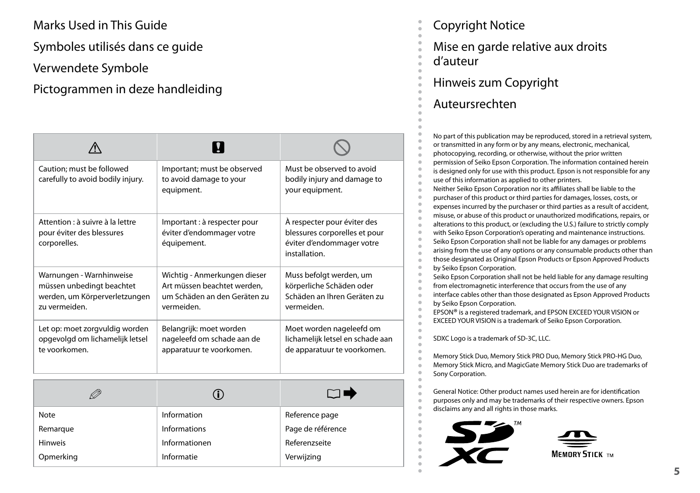<span id="page-4-0"></span>Marks Used in This Guide

Symboles utilisés dans ce guide

Verwendete Symbole

## Pictogrammen in deze handleiding

| Caution; must be followed<br>carefully to avoid bodily injury.                                          | Important; must be observed<br>to avoid damage to your<br>equipment.                                      | Must be observed to avoid<br>bodily injury and damage to<br>your equipment.                                |
|---------------------------------------------------------------------------------------------------------|-----------------------------------------------------------------------------------------------------------|------------------------------------------------------------------------------------------------------------|
| Attention : à suivre à la lettre<br>pour éviter des blessures<br>corporelles.                           | Important : à respecter pour<br>éviter d'endommager votre<br>équipement.                                  | À respecter pour éviter des<br>blessures corporelles et pour<br>éviter d'endommager votre<br>installation. |
| Warnungen - Warnhinweise<br>müssen unbedingt beachtet<br>werden, um Körperverletzungen<br>zu vermeiden. | Wichtig - Anmerkungen dieser<br>Art müssen beachtet werden,<br>um Schäden an den Geräten zu<br>vermeiden. | Muss befolgt werden, um<br>körperliche Schäden oder<br>Schäden an Ihren Geräten zu<br>vermeiden.           |
| Let op: moet zorgvuldig worden<br>opgevolgd om lichamelijk letsel<br>te voorkomen.                      | Belangrijk: moet worden<br>nageleefd om schade aan de<br>apparatuur te voorkomen.                         | Moet worden nageleefd om<br>lichamelijk letsel en schade aan<br>de apparatuur te voorkomen.                |

| Ø              |                     | N E.              |
|----------------|---------------------|-------------------|
| Note           | Information         | Reference page    |
| Remarque       | <b>Informations</b> | Page de référence |
| <b>Hinweis</b> | Informationen       | Referenzseite     |
| Opmerking      | Informatie          | Verwijzing        |

Copyright Notice

Mise en garde relative aux droits d'auteur

Hinweis zum Copyright

#### Auteursrechten

No part of this publication may be reproduced, stored in a retrieval system, or transmitted in any form or by any means, electronic, mechanical, photocopying, recording, or otherwise, without the prior written permission of Seiko Epson Corporation. The information contained herein is designed only for use with this product. Epson is not responsible for any use of this information as applied to other printers. Neither Seiko Epson Corporation nor its affiliates shall be liable to the purchaser of this product or third parties for damages, losses, costs, or expenses incurred by the purchaser or third parties as a result of accident, misuse, or abuse of this product or unauthorized modifications, repairs, or alterations to this product, or (excluding the U.S.) failure to strictly comply with Seiko Epson Corporation's operating and maintenance instructions. Seiko Epson Corporation shall not be liable for any damages or problems arising from the use of any options or any consumable products other than

those designated as Original Epson Products or Epson Approved Products by Seiko Epson Corporation.

Seiko Epson Corporation shall not be held liable for any damage resulting from electromagnetic interference that occurs from the use of any interface cables other than those designated as Epson Approved Products by Seiko Epson Corporation.

EPSON® is a registered trademark, and EPSON EXCEED YOUR VISION or EXCEED YOUR VISION is a trademark of Seiko Epson Corporation.

SDXC Logo is a trademark of SD-3C, LLC.

Memory Stick Duo, Memory Stick PRO Duo, Memory Stick PRO-HG Duo, Memory Stick Micro, and MagicGate Memory Stick Duo are trademarks of Sony Corporation.

General Notice: Other product names used herein are for identification purposes only and may be trademarks of their respective owners. Epson disclaims any and all rights in those marks.



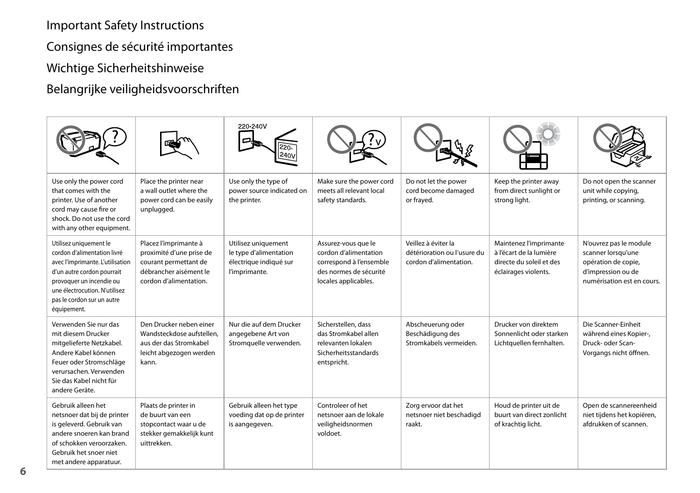<span id="page-5-0"></span>Important Safety Instructions

Consignes de sécurité importantes

Wichtige Sicherheitshinweise

Belangrijke veiligheidsvoorschriften

|                                                                                                                                                                                                                                   |                                                                                                                                | 220-240V                                                                                 |                                                                                                                           |                                                                              |                                                                                                       |                                                                                                                         |
|-----------------------------------------------------------------------------------------------------------------------------------------------------------------------------------------------------------------------------------|--------------------------------------------------------------------------------------------------------------------------------|------------------------------------------------------------------------------------------|---------------------------------------------------------------------------------------------------------------------------|------------------------------------------------------------------------------|-------------------------------------------------------------------------------------------------------|-------------------------------------------------------------------------------------------------------------------------|
| Use only the power cord<br>that comes with the<br>printer. Use of another<br>cord may cause fire or<br>shock. Do not use the cord<br>with any other equipment.                                                                    | Place the printer near<br>a wall outlet where the<br>power cord can be easily<br>unplugged.                                    | Use only the type of<br>power source indicated on<br>the printer.                        | Make sure the power cord<br>meets all relevant local<br>safety standards.                                                 | Do not let the power<br>cord become damaged<br>or frayed.                    | Keep the printer away<br>from direct sunlight or<br>strong light.                                     | Do not open the scanner<br>unit while copying,<br>printing, or scanning.                                                |
| Utilisez uniquement le<br>cordon d'alimentation livré<br>avec l'imprimante. L'utilisation<br>d'un autre cordon pourrait<br>provoquer un incendie ou<br>une électrocution. N'utilisez<br>pas le cordon sur un autre<br>équipement. | Placez l'imprimante à<br>proximité d'une prise de<br>courant permettant de<br>débrancher aisément le<br>cordon d'alimentation. | Utilisez uniquement<br>le type d'alimentation<br>électrique indiqué sur<br>l'imprimante. | Assurez-vous que le<br>cordon d'alimentation<br>correspond à l'ensemble<br>des normes de sécurité<br>locales applicables. | Veillez à éviter la<br>détérioration ou l'usure du<br>cordon d'alimentation. | Maintenez l'imprimante<br>à l'écart de la lumière<br>directe du soleil et des<br>éclairages violents. | N'ouvrez pas le module<br>scanner lorsqu'une<br>opération de copie,<br>d'impression ou de<br>numérisation est en cours. |
| Verwenden Sie nur das<br>mit diesem Drucker<br>mitgelieferte Netzkabel.<br>Andere Kabel können<br>Feuer oder Stromschläge<br>verursachen. Verwenden<br>Sie das Kabel nicht für<br>andere Geräte.                                  | Den Drucker neben einer<br>Wandsteckdose aufstellen.<br>aus der das Stromkabel<br>leicht abgezogen werden<br>kann.             | Nur die auf dem Drucker<br>angegebene Art von<br>Stromquelle verwenden.                  | Sicherstellen, dass<br>das Stromkabel allen<br>relevanten lokalen<br>Sicherheitsstandards<br>entspricht.                  | Abscheuerung oder<br>Beschädigung des<br>Stromkabels vermeiden.              | Drucker von direktem<br>Sonnenlicht oder starken<br>Lichtquellen fernhalten.                          | Die Scanner-Einheit<br>während eines Kopier-,<br>Druck- oder Scan-<br>Vorgangs nicht öffnen.                            |
| Gebruik alleen het<br>netsnoer dat bij de printer<br>is geleverd. Gebruik van<br>andere snoeren kan brand<br>of schokken veroorzaken.<br>Gebruik het snoer niet<br>met andere apparatuur.                                         | Plaats de printer in<br>de buurt van een<br>stopcontact waar u de<br>stekker gemakkelijk kunt<br>uittrekken.                   | Gebruik alleen het type<br>voeding dat op de printer<br>is aangegeven.                   | Controleer of het<br>netsnoer aan de lokale<br>veiligheidsnormen<br>voldoet.                                              | Zorg ervoor dat het<br>netsnoer niet beschadigd<br>raakt.                    | Houd de printer uit de<br>buurt van direct zonlicht<br>of krachtig licht.                             | Open de scannereenheid<br>niet tijdens het kopiëren,<br>afdrukken of scannen.                                           |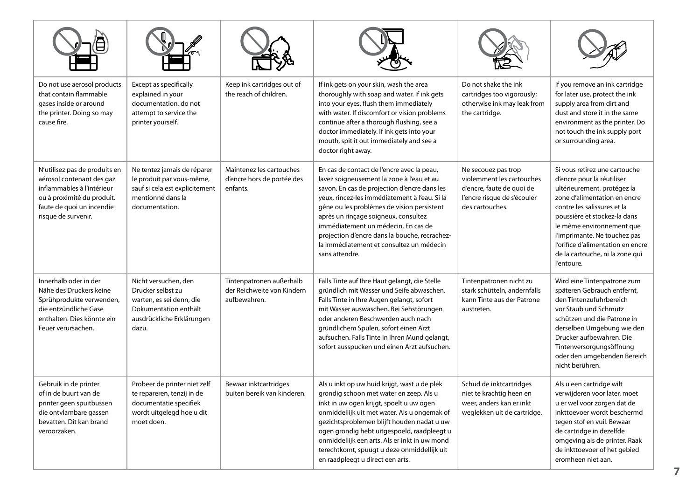| Do not use aerosol products<br>that contain flammable<br>gases inside or around<br>the printer. Doing so may<br>cause fire.                                                | Except as specifically<br>explained in your<br>documentation, do not<br>attempt to service the<br>printer yourself.                  | Keep ink cartridges out of<br>the reach of children.                   | If ink gets on your skin, wash the area<br>thoroughly with soap and water. If ink gets<br>into your eyes, flush them immediately<br>with water. If discomfort or vision problems<br>continue after a thorough flushing, see a<br>doctor immediately. If ink gets into your<br>mouth, spit it out immediately and see a<br>doctor right away.                                                                                         | Do not shake the ink<br>cartridges too vigorously;<br>otherwise ink may leak from<br>the cartridge.                             | If you remove an ink cartridge<br>for later use, protect the ink<br>supply area from dirt and<br>dust and store it in the same<br>environment as the printer. Do<br>not touch the ink supply port<br>or surrounding area.                                                                                                                    |
|----------------------------------------------------------------------------------------------------------------------------------------------------------------------------|--------------------------------------------------------------------------------------------------------------------------------------|------------------------------------------------------------------------|--------------------------------------------------------------------------------------------------------------------------------------------------------------------------------------------------------------------------------------------------------------------------------------------------------------------------------------------------------------------------------------------------------------------------------------|---------------------------------------------------------------------------------------------------------------------------------|----------------------------------------------------------------------------------------------------------------------------------------------------------------------------------------------------------------------------------------------------------------------------------------------------------------------------------------------|
| N'utilisez pas de produits en<br>aérosol contenant des gaz<br>inflammables à l'intérieur<br>ou à proximité du produit.<br>faute de quoi un incendie<br>risque de survenir. | Ne tentez jamais de réparer<br>le produit par vous-même,<br>sauf si cela est explicitement<br>mentionné dans la<br>documentation.    | Maintenez les cartouches<br>d'encre hors de portée des<br>enfants.     | En cas de contact de l'encre avec la peau,<br>lavez soigneusement la zone à l'eau et au<br>savon. En cas de projection d'encre dans les<br>veux, rincez-les immédiatement à l'eau. Si la<br>gêne ou les problèmes de vision persistent<br>après un rinçage soigneux, consultez<br>immédiatement un médecin. En cas de<br>projection d'encre dans la bouche, recrachez-<br>la immédiatement et consultez un médecin<br>sans attendre. | Ne secouez pas trop<br>violemment les cartouches<br>d'encre, faute de quoi de<br>l'encre risque de s'écouler<br>des cartouches. | Si vous retirez une cartouche<br>d'encre pour la réutiliser<br>ultérieurement, protégez la<br>zone d'alimentation en encre<br>contre les salissures et la<br>poussière et stockez-la dans<br>le même environnement que<br>l'imprimante. Ne touchez pas<br>l'orifice d'alimentation en encre<br>de la cartouche, ni la zone qui<br>l'entoure. |
| Innerhalb oder in der<br>Nähe des Druckers keine<br>Sprühprodukte verwenden.<br>die entzündliche Gase<br>enthalten. Dies könnte ein<br>Feuer verursachen.                  | Nicht versuchen, den<br>Drucker selbst zu<br>warten, es sei denn, die<br>Dokumentation enthält<br>ausdrückliche Erklärungen<br>dazu. | Tintenpatronen außerhalb<br>der Reichweite von Kindern<br>aufbewahren. | Falls Tinte auf Ihre Haut gelangt, die Stelle<br>gründlich mit Wasser und Seife abwaschen.<br>Falls Tinte in Ihre Augen gelangt, sofort<br>mit Wasser auswaschen. Bei Sehstörungen<br>oder anderen Beschwerden auch nach<br>gründlichem Spülen, sofort einen Arzt<br>aufsuchen. Falls Tinte in Ihren Mund gelangt,<br>sofort ausspucken und einen Arzt aufsuchen.                                                                    | Tintenpatronen nicht zu<br>stark schütteln, andernfalls<br>kann Tinte aus der Patrone<br>austreten.                             | Wird eine Tintenpatrone zum<br>späteren Gebrauch entfernt.<br>den Tintenzufuhrbereich<br>vor Staub und Schmutz<br>schützen und die Patrone in<br>derselben Umgebung wie den<br>Drucker aufbewahren. Die<br>Tintenversorgungsöffnung<br>oder den umgebenden Bereich<br>nicht berühren.                                                        |
| Gebruik in de printer<br>of in de buurt van de<br>printer geen spuitbussen<br>die ontvlambare gassen<br>bevatten. Dit kan brand<br>veroorzaken.                            | Probeer de printer niet zelf<br>te repareren, tenzij in de<br>documentatie specifiek<br>wordt uitgelegd hoe u dit<br>moet doen.      | Bewaar inktcartridges<br>buiten bereik van kinderen.                   | Als u inkt op uw huid krijgt, wast u de plek<br>grondig schoon met water en zeep. Als u<br>inkt in uw ogen krijgt, spoelt u uw ogen<br>onmiddellijk uit met water. Als u ongemak of<br>gezichtsproblemen blijft houden nadat u uw<br>ogen grondig hebt uitgespoeld, raadpleegt u<br>onmiddellijk een arts. Als er inkt in uw mond<br>terechtkomt, spuugt u deze onmiddellijk uit<br>en raadpleegt u direct een arts.                 | Schud de inktcartridges<br>niet te krachtig heen en<br>weer, anders kan er inkt<br>weglekken uit de cartridge.                  | Als u een cartridge wilt<br>verwijderen voor later, moet<br>u er wel voor zorgen dat de<br>inkttoevoer wordt beschermd<br>tegen stof en vuil. Bewaar<br>de cartridge in dezelfde<br>omgeving als de printer. Raak<br>de inkttoevoer of het gebied<br>eromheen niet aan.                                                                      |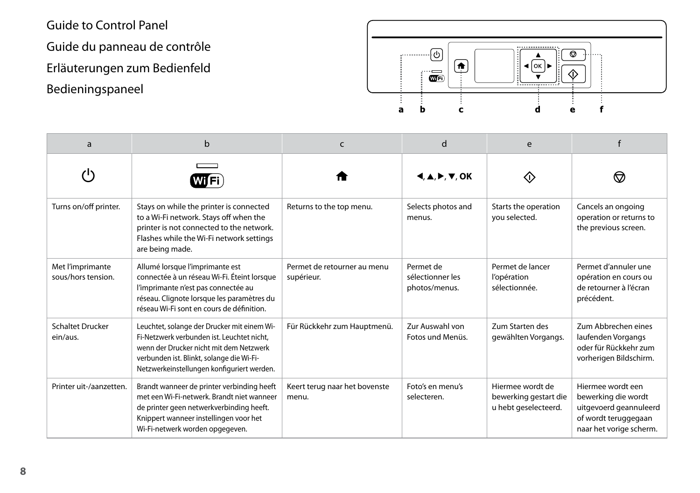<span id="page-7-0"></span>Guide to Control Panel Guide du panneau de contrôle Erläuterungen zum Bedienfeld Bedieningspaneel



| a                                      | b                                                                                                                                                                                                                               | C                                         | d                                                                             | e                                                                 |                                                                                                                       |
|----------------------------------------|---------------------------------------------------------------------------------------------------------------------------------------------------------------------------------------------------------------------------------|-------------------------------------------|-------------------------------------------------------------------------------|-------------------------------------------------------------------|-----------------------------------------------------------------------------------------------------------------------|
| ٬ι۰                                    | Wi Fi                                                                                                                                                                                                                           |                                           | $\blacktriangle, \blacktriangle, \blacktriangleright, \blacktriangledown, OK$ | KI)                                                               | ₩                                                                                                                     |
| Turns on/off printer.                  | Stays on while the printer is connected<br>to a Wi-Fi network. Stays off when the<br>printer is not connected to the network.<br>Flashes while the Wi-Fi network settings<br>are being made.                                    | Returns to the top menu.                  | Selects photos and<br>menus.                                                  | Starts the operation<br>you selected.                             | Cancels an ongoing<br>operation or returns to<br>the previous screen.                                                 |
| Met l'imprimante<br>sous/hors tension. | Allumé lorsque l'imprimante est<br>connectée à un réseau Wi-Fi. Éteint lorsque<br>l'imprimante n'est pas connectée au<br>réseau. Clignote lorsque les paramètres du<br>réseau Wi-Fi sont en cours de définition.                | Permet de retourner au menu<br>supérieur. | Permet de<br>sélectionner les<br>photos/menus.                                | Permet de lancer<br>l'opération<br>sélectionnée.                  | Permet d'annuler une<br>opération en cours ou<br>de retourner à l'écran<br>précédent.                                 |
| <b>Schaltet Drucker</b><br>ein/aus.    | Leuchtet, solange der Drucker mit einem Wi-<br>Fi-Netzwerk verbunden ist. Leuchtet nicht.<br>wenn der Drucker nicht mit dem Netzwerk<br>verbunden ist. Blinkt, solange die Wi-Fi-<br>Netzwerkeinstellungen konfiguriert werden. | Für Rückkehr zum Hauptmenü.               | Zur Auswahl von<br>Fotos und Menüs.                                           | Zum Starten des<br>gewählten Vorgangs.                            | Zum Abbrechen eines<br>laufenden Vorgangs<br>oder für Rückkehr zum<br>vorherigen Bildschirm.                          |
| Printer uit-/aanzetten.                | Brandt wanneer de printer verbinding heeft<br>met een Wi-Fi-netwerk. Brandt niet wanneer<br>de printer geen netwerkverbinding heeft.<br>Knippert wanneer instellingen voor het<br>Wi-Fi-netwerk worden opgegeven.               | Keert terug naar het bovenste<br>menu.    | Foto's en menu's<br>selecteren.                                               | Hiermee wordt de<br>bewerking gestart die<br>u hebt geselecteerd. | Hiermee wordt een<br>bewerking die wordt<br>uitgevoerd geannuleerd<br>of wordt teruggegaan<br>naar het vorige scherm. |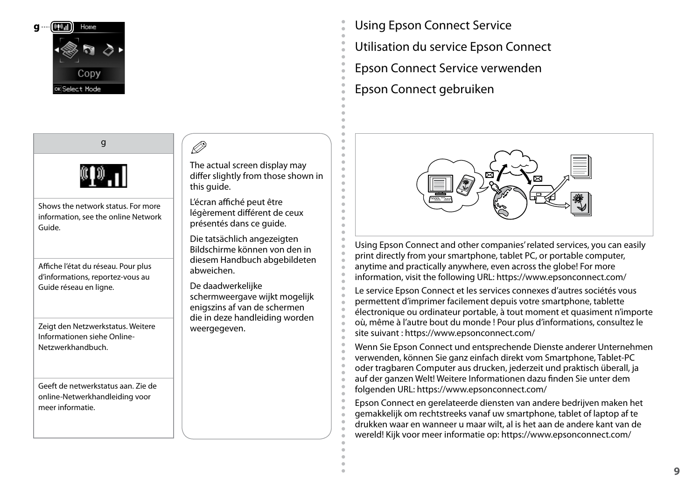<span id="page-8-0"></span>

- Using Epson Connect Service
- Utilisation du service Epson Connect
- Epson Connect Service verwenden
- Epson Connect gebruiken

ċ

ċ ó  $\epsilon$ ó Ċ  $\epsilon$ 



Using Epson Connect and other companies' related services, you can easily print directly from your smartphone, tablet PC, or portable computer, anytime and practically anywhere, even across the globe! For more information, visit the following URL: https://www.epsonconnect.com/

Le service Epson Connect et les services connexes d'autres sociétés vous permettent d'imprimer facilement depuis votre smartphone, tablette électronique ou ordinateur portable, à tout moment et quasiment n'importe où, même à l'autre bout du monde ! Pour plus d'informations, consultez le site suivant : https://www.epsonconnect.com/

Wenn Sie Epson Connect und entsprechende Dienste anderer Unternehmen verwenden, können Sie ganz einfach direkt vom Smartphone, Tablet-PC oder tragbaren Computer aus drucken, jederzeit und praktisch überall, ja auf der ganzen Welt! Weitere Informationen dazu finden Sie unter dem folgenden URL: https://www.epsonconnect.com/

Epson Connect en gerelateerde diensten van andere bedrijven maken het gemakkelijk om rechtstreeks vanaf uw smartphone, tablet of laptop af te drukken waar en wanneer u maar wilt, al is het aan de andere kant van de wereld! Kijk voor meer informatie op: https://www.epsonconnect.com/



g

Guide.

Affiche l'état du réseau. Pour plus d'informations, reportez-vous au Guide réseau en ligne.

Zeigt den Netzwerkstatus. Weitere Informationen siehe Online-Netzwerkhandbuch.

Geeft de netwerkstatus aan. Zie de online-Netwerkhandleiding voor meer informatie.

Q

The actual screen display may differ slightly from those shown in this guide.

L'écran affiché peut être légèrement différent de ceux présentés dans ce guide.

Die tatsächlich angezeigten Bildschirme können von den in diesem Handbuch abgebildeten abweichen.

De daadwerkelijke schermweergave wijkt mogelijk enigszins af van de schermen die in deze handleiding worden weergegeven.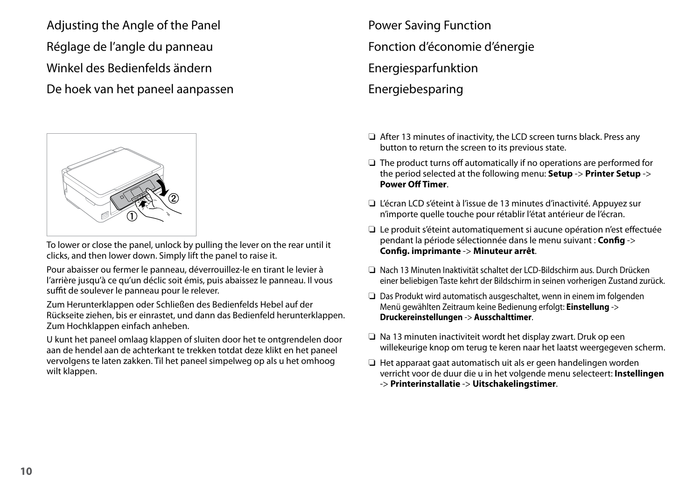<span id="page-9-0"></span>Adjusting the Angle of the Panel Réglage de l'angle du panneau Winkel des Bedienfelds ändern De hoek van het paneel aanpassen



To lower or close the panel, unlock by pulling the lever on the rear until it clicks, and then lower down. Simply lift the panel to raise it.

Pour abaisser ou fermer le panneau, déverrouillez-le en tirant le levier à l'arrière jusqu'à ce qu'un déclic soit émis, puis abaissez le panneau. Il vous suffit de soulever le panneau pour le relever.

Zum Herunterklappen oder Schließen des Bedienfelds Hebel auf der Rückseite ziehen, bis er einrastet, und dann das Bedienfeld herunterklappen. Zum Hochklappen einfach anheben.

U kunt het paneel omlaag klappen of sluiten door het te ontgrendelen door aan de hendel aan de achterkant te trekken totdat deze klikt en het paneel vervolgens te laten zakken. Til het paneel simpelweg op als u het omhoog wilt klappen.

Power Saving Function Fonction d'économie d'énergie Energiesparfunktion **Energiebesparing** 

- □ After 13 minutes of inactivity, the LCD screen turns black. Press any button to return the screen to its previous state.
- $\Box$  The product turns off automatically if no operations are performed for the period selected at the following menu: **Setup** -> **Printer Setup** -> **Power Off Timer**.
- □ L'écran LCD s'éteint à l'issue de 13 minutes d'inactivité. Appuyez sur n'importe quelle touche pour rétablir l'état antérieur de l'écran.
- Le produit s'éteint automatiquement si aucune opération n'est effectuée O pendant la période sélectionnée dans le menu suivant : **Config** -> **Config. imprimante** -> **Minuteur arrêt**.
- Nach 13 Minuten Inaktivität schaltet der LCD-Bildschirm aus. Durch Drücken O einer beliebigen Taste kehrt der Bildschirm in seinen vorherigen Zustand zurück.
- □ Das Produkt wird automatisch ausgeschaltet, wenn in einem im folgenden Menü gewählten Zeitraum keine Bedienung erfolgt: **Einstellung** -> **Druckereinstellungen** -> **Ausschalttimer**.
- □ Na 13 minuten inactiviteit wordt het display zwart. Druk op een willekeurige knop om terug te keren naar het laatst weergegeven scherm.
- □ Het apparaat gaat automatisch uit als er geen handelingen worden verricht voor de duur die u in het volgende menu selecteert: **Instellingen** -> **Printerinstallatie** -> **Uitschakelingstimer**.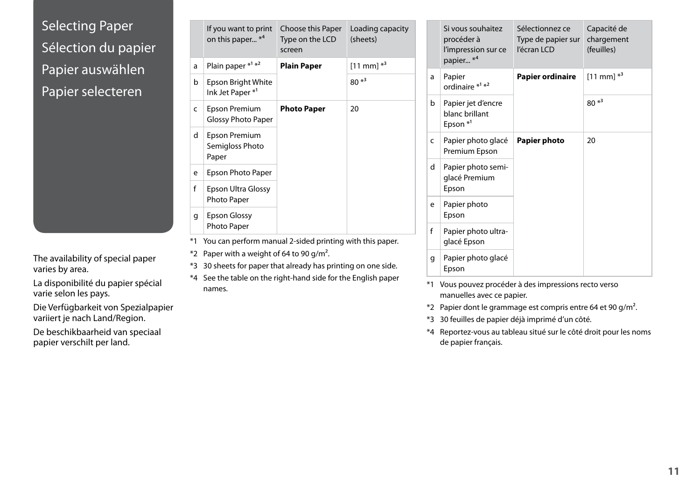## <span id="page-10-0"></span>Selecting Paper Sélection du papier Papier auswählen Papier selecteren

The availability of special paper varies by area.

La disponibilité du papier spécial varie selon les pays.

Die Verfügbarkeit von Spezialpapier variiert je nach Land/Region.

De beschikbaarheid van speciaal papier verschilt per land.

|   | If you want to print<br>on this paper * <sup>4</sup> | Choose this Paper<br>Type on the LCD<br>screen | Loading capacity<br>(sheets) |   | Si vous<br>procéc<br>l'impre |
|---|------------------------------------------------------|------------------------------------------------|------------------------------|---|------------------------------|
| a | Plain paper * <sup>1</sup> * <sup>2</sup>            | <b>Plain Paper</b>                             | $[11$ mm] $*^3$              |   | papier.                      |
| b | Epson Bright White<br>Ink Jet Paper*1                |                                                | $80*3$                       | a | Papier<br>ordina             |
| C | Epson Premium<br><b>Glossy Photo Paper</b>           | <b>Photo Paper</b>                             | 20                           | b | Papier<br>blanc k<br>Epson   |
| d | Epson Premium<br>Semigloss Photo<br>Paper            |                                                |                              | c | Papier<br>Premiu             |
| e | Epson Photo Paper                                    |                                                |                              | d | Papier<br>glacé F            |
| f | Epson Ultra Glossy                                   |                                                |                              |   | Epson                        |
| q | Photo Paper<br><b>Epson Glossy</b>                   |                                                |                              | e | Papier<br>Epson              |
|   | Photo Paper                                          |                                                |                              | f | Papier                       |
|   |                                                      |                                                |                              |   |                              |

- \*1 You can perform manual 2-sided printing with this paper.
- $*2$  Paper with a weight of 64 to 90 g/m<sup>2</sup>.
- \*3 30 sheets for paper that already has printing on one side.
- \*4 See the table on the right-hand side for the English paper names.

|   | Si vous souhaitez<br>procéder à<br>l'impression sur ce<br>papier * <sup>4</sup> | Sélectionnez ce<br>Type de papier sur<br>l'écran LCD | Capacité de<br>chargement<br>(feuilles) |
|---|---------------------------------------------------------------------------------|------------------------------------------------------|-----------------------------------------|
| a | Papier<br>ordinaire * <sup>1</sup> * <sup>2</sup>                               | Papier ordinaire                                     | $[11 \text{ mm}]$ <sup>*3</sup>         |
| b | Papier jet d'encre<br>blanc brillant<br>Epson $*^1$                             |                                                      | $80*3$                                  |
| c | Papier photo glacé<br>Premium Epson                                             | Papier photo                                         | 20                                      |
| d | Papier photo semi-<br>glacé Premium<br>Epson                                    |                                                      |                                         |
| e | Papier photo<br>Epson                                                           |                                                      |                                         |
| f | Papier photo ultra-<br>glacé Epson                                              |                                                      |                                         |
| q | Papier photo glacé<br>Epson                                                     |                                                      |                                         |

- \*1 Vous pouvez procéder à des impressions recto verso manuelles avec ce papier.
- \*2 Papier dont le grammage est compris entre 64 et 90 g/m².
- \*3 30 feuilles de papier déjà imprimé d'un côté.
- \*4 Reportez-vous au tableau situé sur le côté droit pour les noms de papier français.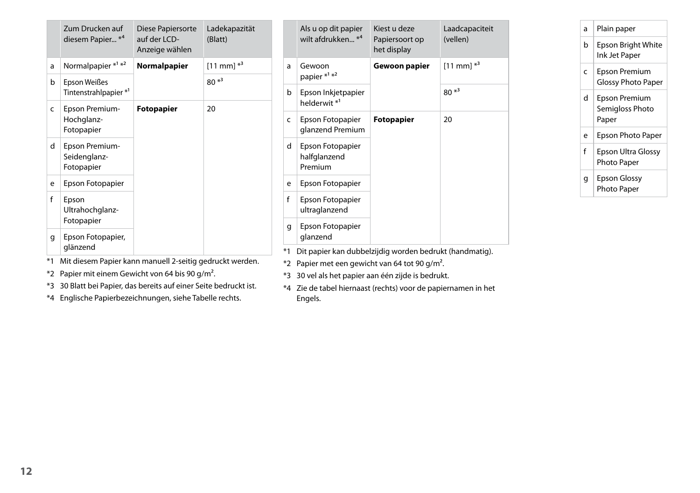|              | Zum Drucken auf<br>diesem Papier * <sup>4</sup> | Diese Papiersorte<br>auf der LCD-<br>Anzeige wählen | Ladekapazität<br>(Blatt) |                                                         | Als u op dit papier<br>wilt afdrukken <sup>*4</sup> | Kiest u deze<br>Papiersoort op<br>het display | Laadcapaciteit<br>(vellen) |
|--------------|-------------------------------------------------|-----------------------------------------------------|--------------------------|---------------------------------------------------------|-----------------------------------------------------|-----------------------------------------------|----------------------------|
| a            | Normalpapier $*1*2$                             | Normalpapier                                        | $[11$ mm] $*^3$          | a                                                       | Gewoon                                              | Gewoon papier                                 | $[11$ mm] $*^3$            |
| b            | Epson Weißes                                    |                                                     | $80*3$                   |                                                         | papier * <sup>1</sup> * <sup>2</sup>                |                                               |                            |
|              | Tintenstrahlpapier * <sup>1</sup>               |                                                     |                          | b                                                       | Epson Inkjetpapier                                  |                                               | $80*3$                     |
| c            | Epson Premium-                                  | Fotopapier                                          | 20                       |                                                         | helderwit <sup>*1</sup>                             |                                               |                            |
|              | Hochglanz-<br>Fotopapier                        |                                                     |                          | c                                                       | Epson Fotopapier<br>glanzend Premium                | <b>Fotopapier</b>                             | 20                         |
| d            | Epson Premium-<br>Seidenglanz-<br>Fotopapier    |                                                     |                          | d                                                       | Epson Fotopapier<br>halfglanzend<br>Premium         |                                               |                            |
| e            | Epson Fotopapier                                |                                                     |                          | e                                                       | Epson Fotopapier                                    |                                               |                            |
| $\mathsf{f}$ | Epson<br>Ultrahochglanz-                        |                                                     |                          |                                                         | Epson Fotopapier<br>ultraglanzend                   |                                               |                            |
|              | Fotopapier                                      |                                                     |                          | q                                                       | Epson Fotopapier                                    |                                               |                            |
| q            | Epson Fotopapier,                               |                                                     |                          | glanzend                                                |                                                     |                                               |                            |
|              | glänzend                                        |                                                     |                          | Dit papier kan dubbelzijdig worden bedrukt (handmatig). |                                                     |                                               |                            |

| a | Plain paper                                |
|---|--------------------------------------------|
| b | Epson Bright White<br>Ink Jet Paper        |
| Ċ | <b>Epson Premium</b><br>Glossy Photo Paper |
| d | Epson Premium<br>Semigloss Photo<br>Paper  |
| e | <b>Epson Photo Paper</b>                   |
| f | Epson Ultra Glossy<br>Photo Paper          |
| a | Epson Glossy<br>Photo Paper                |

- it diesem Papier kann manuell 2-seitig gi
- \*2 Papier mit einem Gewicht von 64 bis 90 g/m².
- \*3 30 Blatt bei Papier, das bereits auf einer Seite bedruckt ist.
- \*4 Englische Papierbezeichnungen, siehe Tabelle rechts.
- 
- \*2 Papier met een gewicht van 64 tot 90 g/m².
- \*3 30 vel als het papier aan één zijde is bedrukt.
- \*4 Zie de tabel hiernaast (rechts) voor de papiernamen in het Engels.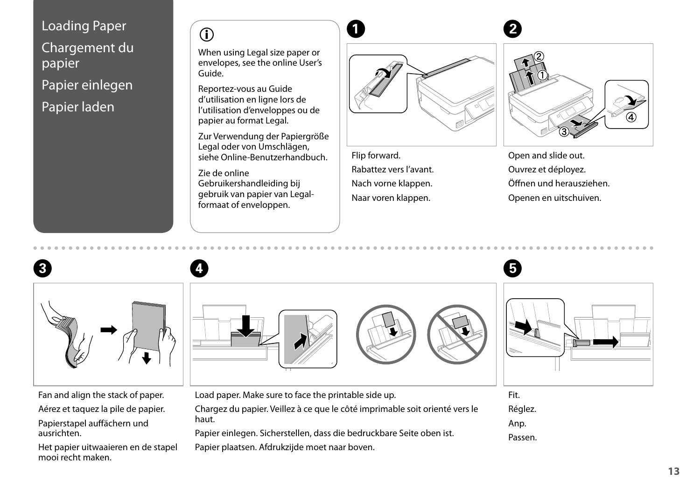<span id="page-12-4"></span><span id="page-12-3"></span><span id="page-12-2"></span><span id="page-12-1"></span><span id="page-12-0"></span>

# $\begin{array}{ccc} \circ & & \bullet \end{array}$

When using Legal size paper or envelopes, see the online User's Guide.

Reportez-vous au Guide d'utilisation en ligne lors de l'utilisation d'enveloppes ou de papier au format Legal.

Zur Verwendung der Papiergröße Legal oder von Umschlägen, siehe Online-Benutzerhandbuch.

Zie de online Gebruikershandleiding bij gebruik van papier van Legalformaat of enveloppen.



Flip forward. Rabattez vers l'avant. Nach vorne klappen. Naar voren klappen.



Open and slide out. Ouvrez et déployez. Öffnen und herausziehen. Openen en uitschuiven.



Aérez et taquez la pile de papier.

Papierstapel auffächern und ausrichten.

Het papier uitwaaieren en de stapel mooi recht maken.



Papier plaatsen. Afdrukzijde moet naar boven.

Réglez. Anp. Passen.

**13**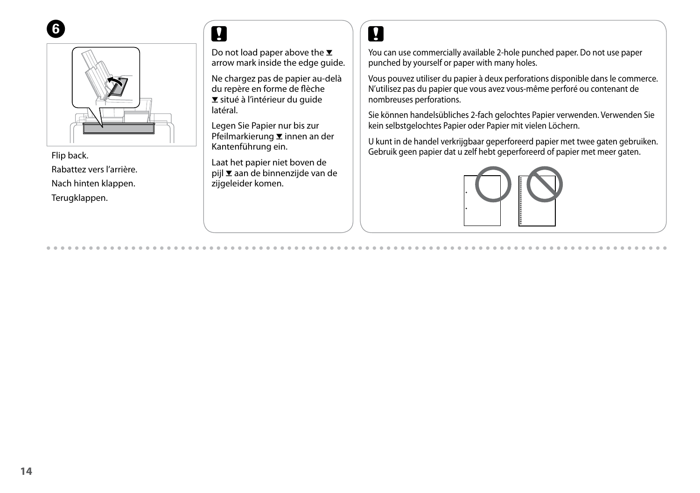



Flip back. Rabattez vers l'arrière. Nach hinten klappen. Terugklappen.

Do not load paper above the  $\Sigma$ arrow mark inside the edge guide.

Ne chargez pas de papier au-delà du repère en forme de flèche  $\Sigma$  situé à l'intérieur du guide latéral.

Legen Sie Papier nur bis zur Pfeilmarkierung **▼** innen an der Kantenführung ein.

Laat het papier niet boven de pijl  $\Sigma$  aan de binnenzijde van de zijgeleider komen.

## $\mathbf{p}$

You can use commercially available 2-hole punched paper. Do not use paper punched by yourself or paper with many holes.

Vous pouvez utiliser du papier à deux perforations disponible dans le commerce. N'utilisez pas du papier que vous avez vous-même perforé ou contenant de nombreuses perforations.

Sie können handelsübliches 2-fach gelochtes Papier verwenden. Verwenden Sie kein selbstgelochtes Papier oder Papier mit vielen Löchern.

U kunt in de handel verkrijgbaar geperforeerd papier met twee gaten gebruiken. Gebruik geen papier dat u zelf hebt geperforeerd of papier met meer gaten.

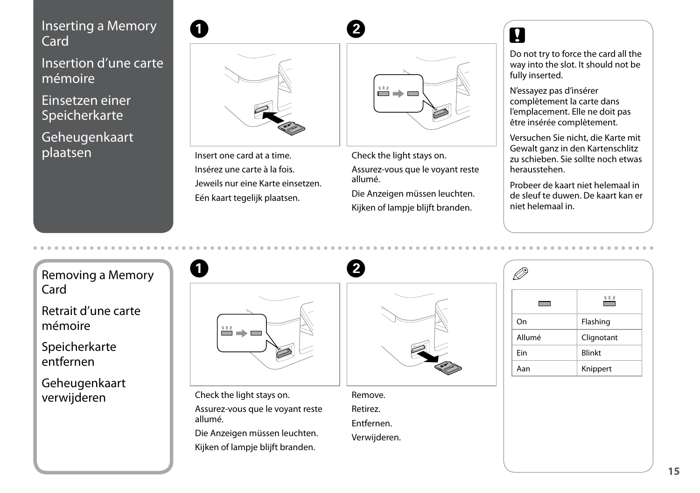#### <span id="page-14-1"></span><span id="page-14-0"></span>Inserting a Memory **1988 Card**

Insertion d'une carte mémoire

Einsetzen einer **Speicherkarte** 

Geheugenkaart plaatsen



Insert one card at a time. Insérez une carte à la fois. Jeweils nur eine Karte einsetzen. Eén kaart tegelijk plaatsen.

| m.<br>$\overline{\phantom{a}}$ |
|--------------------------------|
|                                |
|                                |

Check the light stays on. Assurez-vous que le voyant reste allumé.

Die Anzeigen müssen leuchten. Kijken of lampje blijft branden.

Do not try to force the card all the way into the slot. It should not be fully inserted.

N'essayez pas d'insérer complètement la carte dans l'emplacement. Elle ne doit pas être insérée complètement.

Versuchen Sie nicht, die Karte mit Gewalt ganz in den Kartenschlitz zu schieben. Sie sollte noch etwas herausstehen.

Probeer de kaart niet helemaal in de sleuf te duwen. De kaart kan er niet helemaal in.

Removing a Memory Card

Retrait d'une carte mémoire

Speicherkarte entfernen

Geheugenkaart



verwijderen Check the light stays on. Assurez-vous que le voyant reste allumé.

Die Anzeigen müssen leuchten. Kijken of lampje blijft branden.

Remove.

Retirez. Entfernen.

Verwijderen.

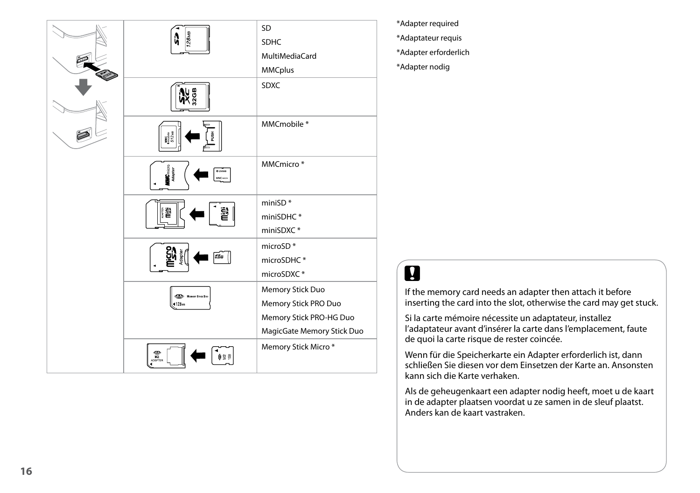

\*Adapter required \*Adaptateur requis \*Adapter erforderlich \*Adapter nodig

## $\boldsymbol{\mathbf{q}}$

If the memory card needs an adapter then attach it before inserting the card into the slot, otherwise the card may get stuck.

Si la carte mémoire nécessite un adaptateur, installez l'adaptateur avant d'insérer la carte dans l'emplacement, faute de quoi la carte risque de rester coincée.

Wenn für die Speicherkarte ein Adapter erforderlich ist, dann schließen Sie diesen vor dem Einsetzen der Karte an. Ansonsten kann sich die Karte verhaken.

Als de geheugenkaart een adapter nodig heeft, moet u de kaart in de adapter plaatsen voordat u ze samen in de sleuf plaatst. Anders kan de kaart vastraken.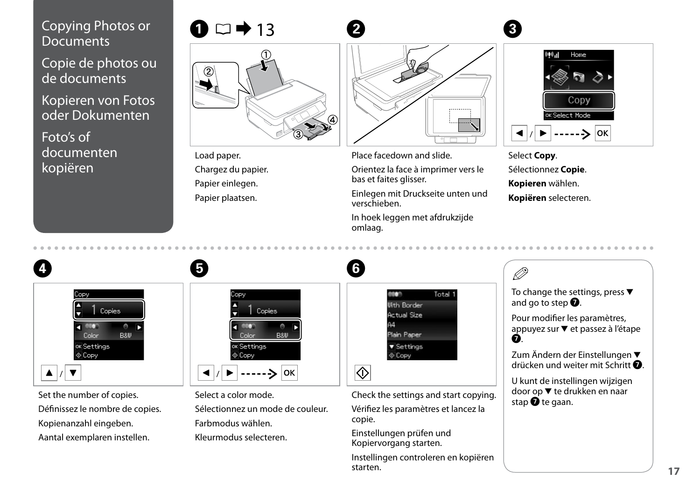### <span id="page-16-0"></span>Copying Photos or **Documents**

Copie de photos ou de documents

Kopieren von Fotos oder Dokumenten

Foto's of documenten kopiëren



Load paper. Chargez du papier. Papier einlegen. Papier plaatsen.

Place facedown and slide.

Orientez la face à imprimer vers le bas et faites glisser.

Einlegen mit Druckseite unten und verschieben.

In hoek leggen met afdrukzijde omlaag.



Select **Copy**. Sélectionnez **Copie**. **Kopieren** wählen. **Kopiëren** selecteren.

|                                                                                                                        |                                                                                                         |                                                                                                                                               | Ø                                                                                                                                                                                                                                           |
|------------------------------------------------------------------------------------------------------------------------|---------------------------------------------------------------------------------------------------------|-----------------------------------------------------------------------------------------------------------------------------------------------|---------------------------------------------------------------------------------------------------------------------------------------------------------------------------------------------------------------------------------------------|
| Copy<br><b>Copies</b><br>aro.<br><b>B&amp;W</b><br>Color<br>OK Settings<br>$\otimes$ Copy                              | Copy<br><b>Copies</b><br><b>B&amp;W</b><br><b>Ander</b><br>OK Settings<br>$\circ$ Copy<br> OK           | Total<br><b>With Border</b><br><b>Actual Size</b><br>Plain Paper<br>$\blacktriangledown$ Settings<br>$\Phi$ Copy                              | To change the settings, press $\blacktriangledown$<br>and go to step $\bullet$ .<br>Pour modifier les paramètres,<br>appuyez sur ▼ et passez à l'étape<br>Ø<br>Zum Ändern der Einstellungen ▼<br>drücken und weiter mit Schritt $\bullet$ . |
| Set the number of copies.<br>Définissez le nombre de copies.<br>Kopienanzahl eingeben.<br>Aantal exemplaren instellen. | Select a color mode.<br>Sélectionnez un mode de couleur.<br>Farbmodus wählen.<br>Kleurmodus selecteren. | Check the settings and start copying.<br>Vérifiez les paramètres et lancez la<br>copie.<br>Einstellungen prüfen und<br>Kopiervorgang starten. | U kunt de instellingen wijzigen<br>door op ▼ te drukken en naar<br>stap $\bullet$ te gaan.                                                                                                                                                  |
|                                                                                                                        |                                                                                                         | Instellingen controleren en kopiëren                                                                                                          |                                                                                                                                                                                                                                             |

starten.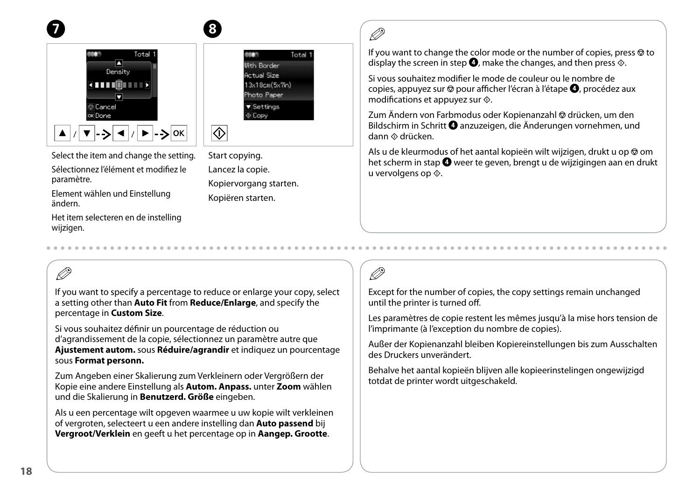



Total 1 osen **Ilith Rorder Actual Size**  $13x18cm(5x7n)$ Photo Paper ▼ Settings Copy

Select the item and change the setting.

Sélectionnez l'élément et modifiez le paramètre.

Element wählen und Einstellung ändern.

Het item selecteren en de instelling wijzigen.

Start copying. Lancez la copie. Kopiervorgang starten. Kopiëren starten.

## R)

If you want to change the color mode or the number of copies, press  $\otimes$  to display the screen in step  $\bullet$ , make the changes, and then press  $\diamondsuit$ .

Si vous souhaitez modifier le mode de couleur ou le nombre de copies, appuyez sur  $\odot$  pour afficher l'écran à l'étape  $\bullet$ , procédez aux modifications et appuyez sur  $\otimes$ .

Zum Ändern von Farbmodus oder Kopienanzahl @ drücken, um den Bildschirm in Schritt **O** anzuzeigen, die Änderungen vornehmen, und dann  $\otimes$  drücken.

Als u de kleurmodus of het aantal kopieën wilt wijzigen, drukt u op  $\otimes$  om het scherm in stap  $\bullet$  weer te geven, brengt u de wijzigingen aan en drukt u vervolgens op  $\Diamond$ .

## Q

If you want to specify a percentage to reduce or enlarge your copy, select a setting other than **Auto Fit** from **Reduce/Enlarge**, and specify the percentage in **Custom Size**.

 $\mathbf{g}$ 

 $\overline{\diamondsuit}$ 

Si vous souhaitez définir un pourcentage de réduction ou d'agrandissement de la copie, sélectionnez un paramètre autre que **Ajustement autom.** sous **Réduire/agrandir** et indiquez un pourcentage sous **Format personn.**

Zum Angeben einer Skalierung zum Verkleinern oder Vergrößern der Kopie eine andere Einstellung als **Autom. Anpass.** unter **Zoom** wählen und die Skalierung in **Benutzerd. Größe** eingeben.

Als u een percentage wilt opgeven waarmee u uw kopie wilt verkleinen of vergroten, selecteert u een andere instelling dan **Auto passend** bij **Vergroot/Verklein** en geeft u het percentage op in **Aangep. Grootte**.

## Q

Except for the number of copies, the copy settings remain unchanged until the printer is turned off.

Les paramètres de copie restent les mêmes jusqu'à la mise hors tension de l'imprimante (à l'exception du nombre de copies).

Außer der Kopienanzahl bleiben Kopiereinstellungen bis zum Ausschalten des Druckers unverändert.

Behalve het aantal kopieën blijven alle kopieerinstelingen ongewijzigd totdat de printer wordt uitgeschakeld.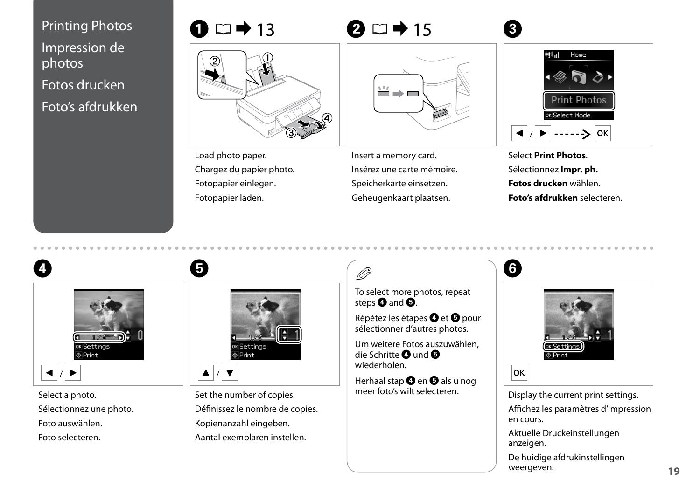<span id="page-18-0"></span>Printing Photos Impression de photos Fotos drucken Foto's afdrukken



Load photo paper. Chargez du papier photo. Fotopapier einlegen. Fotopapier laden.

| ≚ |
|---|
|   |
|   |

Insert a memory card. Insérez une carte mémoire. Speicherkarte einsetzen. Geheugenkaart plaatsen.



Select **Print Photos**. Sélectionnez **Impr. ph. Fotos drucken** wählen. **Foto's afdrukken** selecteren.



# $\overline{\otimes}$  Print

Select a photo. Sélectionnez une photo. Foto auswählen. Foto selecteren.



E

Set the number of copies. Définissez le nombre de copies. Kopienanzahl eingeben. Aantal exemplaren instellen.

To select more photos, repeat steps  $\boldsymbol{\Theta}$  and  $\boldsymbol{\Theta}$ .

Répétez les étapes @ et @ pour sélectionner d'autres photos.

Um weitere Fotos auszuwählen, die Schritte **O** und **O** wiederholen.

Herhaal stap  $\bullet$  en  $\bullet$  als u nog meer foto's wilt selecteren.

## 6



Display the current print settings. Affichez les paramètres d'impression en cours.

Aktuelle Druckeinstellungen anzeigen.

De huidige afdrukinstellingen weergeven.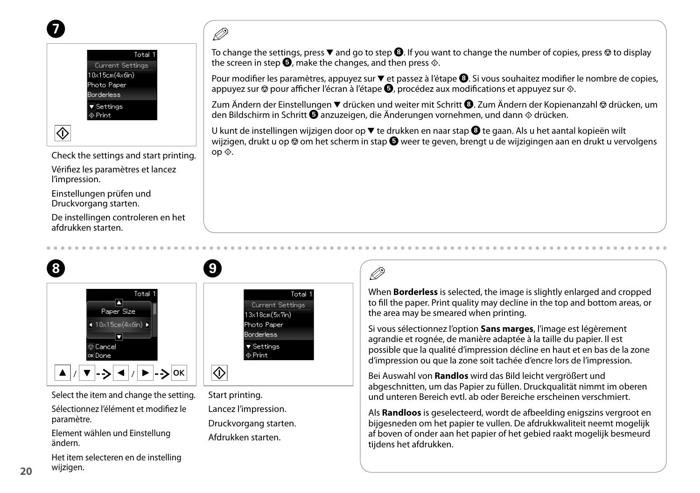



Check the settings and start printing.

Vérifiez les paramètres et lancez l'impression.

Einstellungen prüfen und Druckvorgang starten.

De instellingen controleren en het afdrukken starten.



Lancez l'impression. Druckvorgang starten. Afdrukken starten.

Select the item and change the setting.

Sélectionnez l'élément et modifiez le paramètre.

Element wählen und Einstellung ändern.

Het item selecteren en de instelling wijzigen.

## Q

To change the settings, press  $\blacktriangledown$  and go to step  $\Theta$ . If you want to change the number of copies, press  $\otimes$  to display the screen in step  $\bullet$ , make the changes, and then press  $\diamondsuit$ .

Pour modifier les paramètres, appuyez sur  $\blacktriangledown$  et passez à l'étape  $\Theta$ . Si vous souhaitez modifier le nombre de copies, appuyez sur  $\odot$  pour afficher l'écran à l'étape  $\bigcirc$ , procédez aux modifications et appuyez sur  $\odot$ .

Zum Ändern der Einstellungen ▼ drücken und weiter mit Schritt **+** Zum Ändern der Kopienanzahl © drücken, um den Bildschirm in Schritt  $\bullet$  anzuzeigen, die Änderungen vornehmen, und dann  $\Diamond$  drücken.

U kunt de instellingen wijzigen door op ▼ te drukken en naar stap ❸ te gaan. Als u het aantal kopieën wilt wijzigen, drukt u op  $\circledast$  om het scherm in stap  $\bullet$  weer te geven, brengt u de wijzigingen aan en drukt u vervolgens op  $\lozenge$ .

## Q

When **Borderless** is selected, the image is slightly enlarged and cropped to fill the paper. Print quality may decline in the top and bottom areas, or the area may be smeared when printing.

Si vous sélectionnez l'option **Sans marges**, l'image est légèrement agrandie et rognée, de manière adaptée à la taille du papier. Il est possible que la qualité d'impression décline en haut et en bas de la zone d'impression ou que la zone soit tachée d'encre lors de l'impression.

Bei Auswahl von **Randlos** wird das Bild leicht vergrößert und abgeschnitten, um das Papier zu füllen. Druckqualität nimmt im oberen und unteren Bereich evtl. ab oder Bereiche erscheinen verschmiert.

Als **Randloos** is geselecteerd, wordt de afbeelding enigszins vergroot en bijgesneden om het papier te vullen. De afdrukkwaliteit neemt mogelijk af boven of onder aan het papier of het gebied raakt mogelijk besmeurd tijdens het afdrukken.

**20**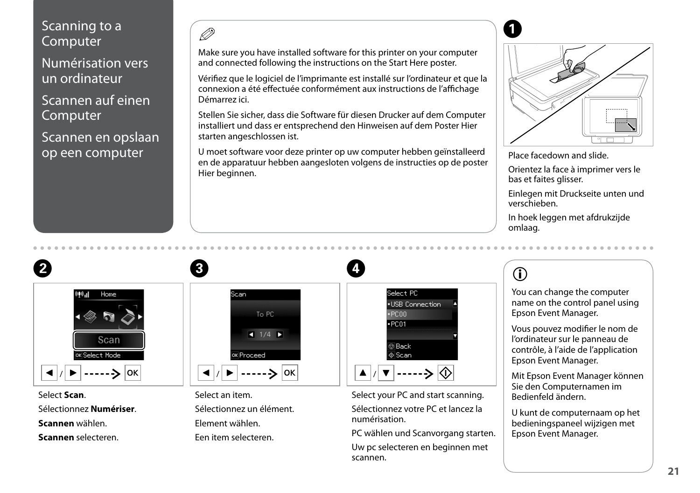#### <span id="page-20-0"></span>Scanning to a Computer

Numérisation vers un ordinateur

Scannen auf einen Computer

Scannen en opslaan op een computer

 $\overline{\mathscr{P}}$  and  $\overline{\mathbf{Q}}$ 

Make sure you have installed software for this printer on your computer and connected following the instructions on the Start Here poster.

Vérifiez que le logiciel de l'imprimante est installé sur l'ordinateur et que la connexion a été effectuée conformément aux instructions de l'affichage Démarrez ici.

Stellen Sie sicher, dass die Software für diesen Drucker auf dem Computer installiert und dass er entsprechend den Hinweisen auf dem Poster Hier starten angeschlossen ist.

U moet software voor deze printer op uw computer hebben geïnstalleerd en de apparatuur hebben aangesloten volgens de instructies op de poster Hier beginnen.

 $\overline{\mathbf{A}}$ 



Place facedown and slide.

Orientez la face à imprimer vers le bas et faites glisser.

Einlegen mit Druckseite unten und verschieben.

In hoek leggen met afdrukzijde omlaag.



Select **Scan**. Sélectionnez **Numériser**. **Scannen** wählen. **Scannen** selecteren.



Select an item. Sélectionnez un élément. Element wählen. Een item selecteren.



Select your PC and start scanning. Sélectionnez votre PC et lancez la numérisation.

PC wählen und Scanvorgang starten. Uw pc selecteren en beginnen met scannen.

## $\circ$

You can change the computer name on the control panel using Epson Event Manager.

Vous pouvez modifier le nom de l'ordinateur sur le panneau de contrôle, à l'aide de l'application Epson Event Manager.

Mit Epson Event Manager können Sie den Computernamen im Bedienfeld ändern.

U kunt de computernaam op het bedieningspaneel wijzigen met Epson Event Manager.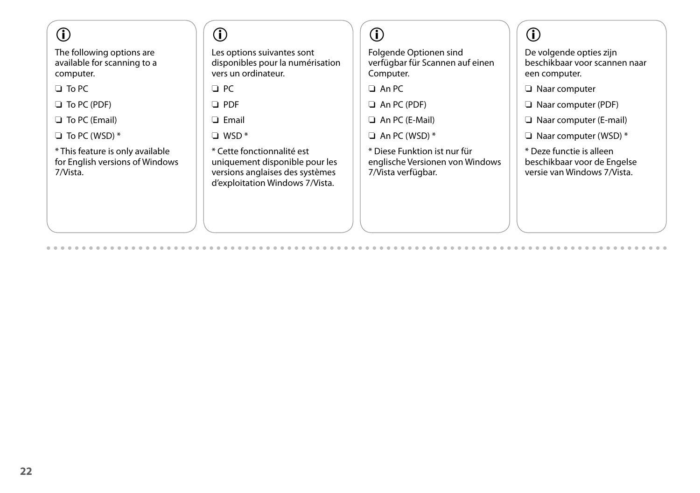## $\mathbf{r}$

The following options are available for scanning to a computer.

 $\square$  To PC

To PC (PDF) O

□ To PC (Email)

 $\Box$  To PC (WSD)  $^*$ 

\* This feature is only available for English versions of Windows 7/Vista.

### $\circ$

Les options suivantes sont disponibles pour la numérisation vers un ordinateur.

 $\Box$  PC

PDF O

□ Email

WSD \* O

\* Cette fonctionnalité est uniquement disponible pour les versions anglaises des systèmes d'exploitation Windows 7/Vista.

## $\mathbf{r}$

Folgende Optionen sind verfügbar für Scannen auf einen Computer.

□ An PC

An PC (PDF) O

An PC (E-Mail) O

 $\Box$  An PC (WSD)  $*$ 

\* Diese Funktion ist nur für englische Versionen von Windows 7/Vista verfügbar.

## $\bigcirc$

De volgende opties zijn beschikbaar voor scannen naar een computer.

Naar computer O

Naar computer (PDF) O

Naar computer (E-mail) O

Naar computer (WSD) \* O

\* Deze functie is alleen beschikbaar voor de Engelse versie van Windows 7/Vista.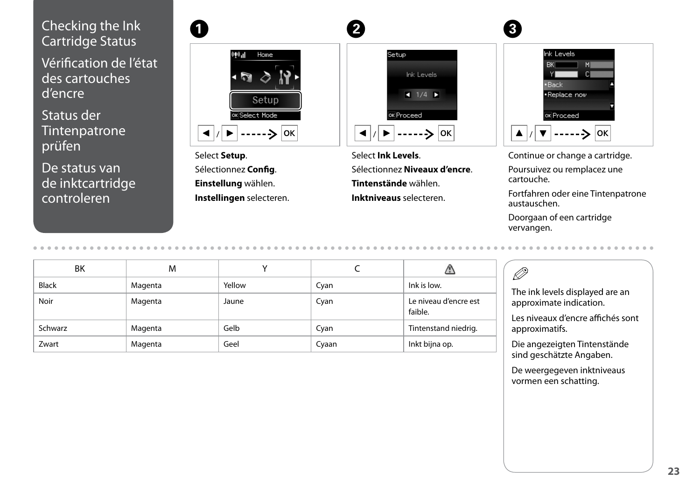### <span id="page-22-0"></span>Checking the Ink Cartridge Status

Vérification de l'état des cartouches d'encre

Status der **Tintenpatrone** prüfen

De status van de inktcartridge controleren

| - Home<br>۸ıl                                     |  |
|---------------------------------------------------|--|
|                                                   |  |
| Setup                                             |  |
| OK Select Mode                                    |  |
| $\blacktriangleleft   /  $<br>OK<br>$\rightarrow$ |  |

Select **Setup**. Sélectionnez **Config**. **Einstellung** wählen. **Instellingen** selecteren.

|                                                                             | $\mathbf{2}$                                                                      |
|-----------------------------------------------------------------------------|-----------------------------------------------------------------------------------|
| $010 - 1$<br>Home<br>$\epsilon$<br>Setup<br>ox Select Mode<br>OK<br>------> | Setup<br>Ink Levels<br>$\bullet$ 1/4 $\rightarrow$<br>ox Proceed<br>OK<br>------> |
|                                                                             |                                                                                   |

Select **Ink Levels**. Sélectionnez **Niveaux d'encre**. **Tintenstände** wählen. **Inktniveaus** selecteren.



Continue or change a cartridge. Poursuivez ou remplacez une cartouche.

Fortfahren oder eine Tintenpatrone austauschen.

Doorgaan of een cartridge vervangen.

| ΒK           | M       |        |       |                                  |
|--------------|---------|--------|-------|----------------------------------|
| <b>Black</b> | Magenta | Yellow | Cyan  | Ink is low.                      |
| Noir         | Magenta | Jaune  | Cyan  | Le niveau d'encre est<br>faible. |
| Schwarz      | Magenta | Gelb   | Cyan  | Tintenstand niedrig.             |
| Zwart        | Magenta | Geel   | Cyaan | Inkt bijna op.                   |

#### Ø3

The ink levels displayed are an approximate indication.

Les niveaux d'encre affichés sont approximatifs.

Die angezeigten Tintenstände sind geschätzte Angaben.

De weergegeven inktniveaus vormen een schatting.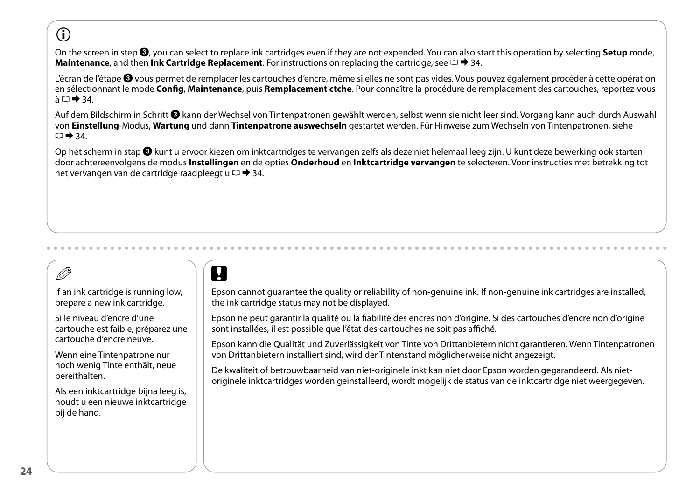## $\mathbf{r}$

On the screen in step C, you can select to replace ink cartridges even if they are not expended. You can also start this operation by selecting **Setup** mode, **Maintenance**, and then **Ink Cartridge Replacement**. For instructions on replacing the cartridge, see  $\Box \rightarrow 34$  $\Box \rightarrow 34$ .

L'écran de l'étape <sup>®</sup> vous permet de remplacer les cartouches d'encre, même si elles ne sont pas vides. Vous pouvez également procéder à cette opération en sélectionnant le mode **Config**, **Maintenance**, puis **Remplacement ctche**. Pour connaître la procédure de remplacement des cartouches, reportez-vous  $\lambda \Box \rightarrow 34$  $\lambda \Box \rightarrow 34$ .

Auf dem Bildschirm in Schritt <sup>3</sup>kann der Wechsel von Tintenpatronen gewählt werden, selbst wenn sie nicht leer sind. Vorgang kann auch durch Auswahl von **Einstellung**-Modus, **Wartung** und dann **Tintenpatrone auswechseln** gestartet werden. Für Hinweise zum Wechseln von Tintenpatronen, siehe  $\Box \rightarrow 34.$  $\Box \rightarrow 34.$  $\Box \rightarrow 34.$ 

Op het scherm in stap C kunt u ervoor kiezen om inktcartridges te vervangen zelfs als deze niet helemaal leeg zijn. U kunt deze bewerking ook starten door achtereenvolgens de modus **Instellingen** en de opties **Onderhoud** en **Inktcartridge vervangen** te selecteren. Voor instructies met betrekking tot het vervangen van de cartridge raadpleegt u  $\Box \rightarrow 34$ .

## Q

If an ink cartridge is running low, prepare a new ink cartridge.

Si le niveau d'encre d'une cartouche est faible, préparez une cartouche d'encre neuve.

Wenn eine Tintenpatrone nur noch wenig Tinte enthält, neue bereithalten.

Als een inktcartridge bijna leeg is, houdt u een nieuwe inktcartridge bij de hand.

## $\boldsymbol{\mathsf{u}}$

Epson cannot guarantee the quality or reliability of non-genuine ink. If non-genuine ink cartridges are installed, the ink cartridge status may not be displayed.

Epson ne peut garantir la qualité ou la fiabilité des encres non d'origine. Si des cartouches d'encre non d'origine sont installées, il est possible que l'état des cartouches ne soit pas affiché.

Epson kann die Qualität und Zuverlässigkeit von Tinte von Drittanbietern nicht garantieren. Wenn Tintenpatronen von Drittanbietern installiert sind, wird der Tintenstand möglicherweise nicht angezeigt.

De kwaliteit of betrouwbaarheid van niet-originele inkt kan niet door Epson worden gegarandeerd. Als nietoriginele inktcartridges worden geïnstalleerd, wordt mogelijk de status van de inktcartridge niet weergegeven.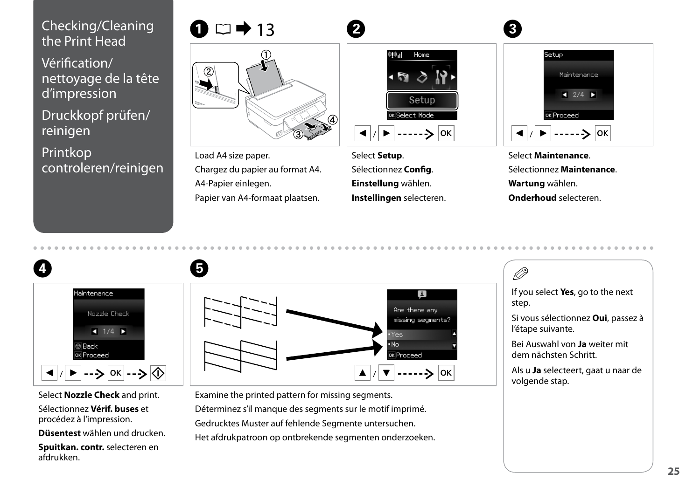# <span id="page-24-1"></span><span id="page-24-0"></span>Checking/Cleaning  $\bigcirc$   $\Box$   $\rightarrow$  13  $\qquad$   $\qquad$   $\qquad$   $\qquad$   $\qquad$   $\qquad$   $\qquad$   $\qquad$   $\qquad$   $\qquad$   $\qquad$   $\qquad$   $\qquad$   $\qquad$   $\qquad$   $\qquad$   $\qquad$   $\qquad$   $\qquad$   $\qquad$   $\qquad$   $\qquad$   $\qquad$   $\qquad$   $\qquad$   $\qquad$   $\qquad$   $\qquad$   $\qquad$   $\qquad$   $\qquad$

<span id="page-24-2"></span>Vérification/ nettoyage de la tête d'impression

<span id="page-24-3"></span>Druckkopf prüfen/ reinigen

<span id="page-24-4"></span>Printkop controleren/reinigen





Load A4 size paper. Chargez du papier au format A4. A4-Papier einlegen. Papier van A4-formaat plaatsen.

Select **Setup**. Sélectionnez **Config**. **Einstellung** wählen. **Instellingen** selecteren.



Select **Maintenance**. Sélectionnez **Maintenance**. **Wartung** wählen. **Onderhoud** selecteren.



Select **Nozzle Check** and print.

Sélectionnez **Vérif. buses** et procédez à l'impression.

**Düsentest** wählen und drucken.

**Spuitkan. contr.** selecteren en afdrukken.



Examine the printed pattern for missing segments. Déterminez s'il manque des segments sur le motif imprimé. Gedrucktes Muster auf fehlende Segmente untersuchen. Het afdrukpatroon op ontbrekende segmenten onderzoeken. If you select **Yes**, go to the next step.

Ø5

Si vous sélectionnez **Oui**, passez à l'étape suivante.

Bei Auswahl von **Ja** weiter mit dem nächsten Schritt.

Als u **Ja** selecteert, gaat u naar de volgende stap.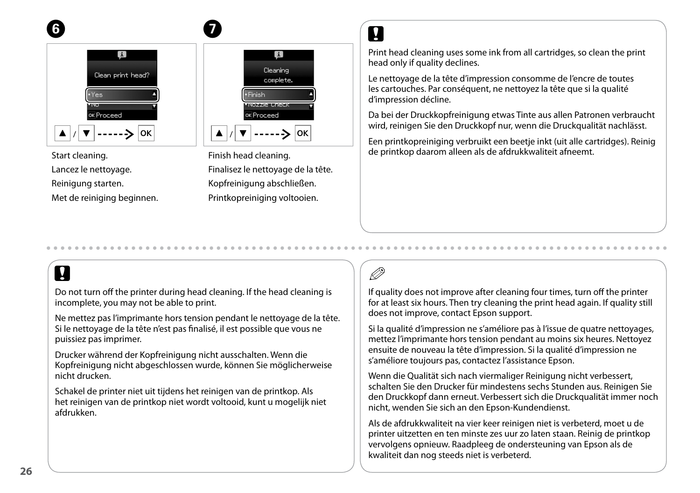



 $\bm{O}$ 

#### Start cleaning.

Lancez le nettoyage.

Reinigung starten.

Met de reiniging beginnen.

∣oк Finish head cleaning. Finalisez le nettoyage de la tête. Kopfreinigung abschließen. Printkopreiniging voltooien.

## $\overline{\mathbf{v}}$

Print head cleaning uses some ink from all cartridges, so clean the print head only if quality declines.

Le nettoyage de la tête d'impression consomme de l'encre de toutes les cartouches. Par conséquent, ne nettoyez la tête que si la qualité d'impression décline.

Da bei der Druckkopfreinigung etwas Tinte aus allen Patronen verbraucht wird, reinigen Sie den Druckkopf nur, wenn die Druckqualität nachlässt.

Een printkopreiniging verbruikt een beetje inkt (uit alle cartridges). Reinig de printkop daarom alleen als de afdrukkwaliteit afneemt.

## $\boldsymbol{\mathsf{p}}$

Do not turn off the printer during head cleaning. If the head cleaning is incomplete, you may not be able to print.

Ne mettez pas l'imprimante hors tension pendant le nettoyage de la tête. Si le nettoyage de la tête n'est pas finalisé, il est possible que vous ne puissiez pas imprimer.

Drucker während der Kopfreinigung nicht ausschalten. Wenn die Kopfreinigung nicht abgeschlossen wurde, können Sie möglicherweise nicht drucken.

Schakel de printer niet uit tijdens het reinigen van de printkop. Als het reinigen van de printkop niet wordt voltooid, kunt u mogelijk niet afdrukken.

## Q

If quality does not improve after cleaning four times, turn off the printer for at least six hours. Then try cleaning the print head again. If quality still does not improve, contact Epson support.

Si la qualité d'impression ne s'améliore pas à l'issue de quatre nettoyages, mettez l'imprimante hors tension pendant au moins six heures. Nettoyez ensuite de nouveau la tête d'impression. Si la qualité d'impression ne s'améliore toujours pas, contactez l'assistance Epson.

Wenn die Qualität sich nach viermaliger Reinigung nicht verbessert, schalten Sie den Drucker für mindestens sechs Stunden aus. Reinigen Sie den Druckkopf dann erneut. Verbessert sich die Druckqualität immer noch nicht, wenden Sie sich an den Epson-Kundendienst.

Als de afdrukkwaliteit na vier keer reinigen niet is verbeterd, moet u de printer uitzetten en ten minste zes uur zo laten staan. Reinig de printkop vervolgens opnieuw. Raadpleeg de ondersteuning van Epson als de kwaliteit dan nog steeds niet is verbeterd.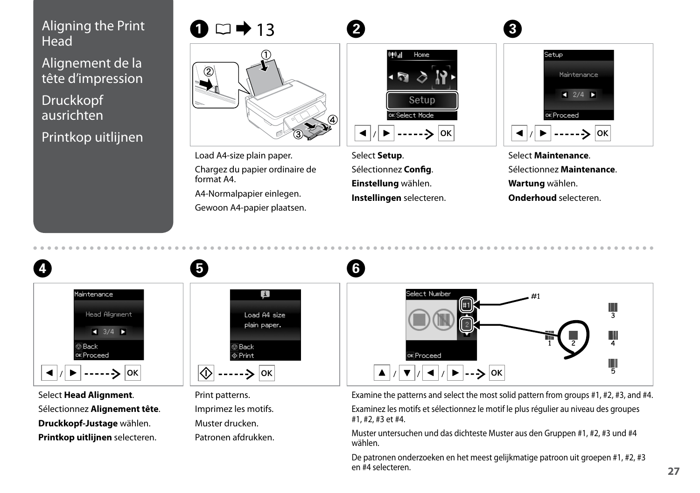# <span id="page-26-0"></span>Aligning the Print  $\bigcirc$   $\Box$   $\rightarrow$  13  $\qquad$   $\bullet$   $\Box$   $\rightarrow$  13  $\qquad$   $\bullet$  13  $\qquad$   $\bullet$  13  $\qquad$   $\bullet$  13  $\qquad$   $\bullet$  12  $\qquad$   $\bullet$  12  $\qquad$   $\bullet$  12  $\qquad$   $\bullet$  12  $\qquad$   $\bullet$  12  $\qquad$   $\bullet$  12  $\qquad$   $\bullet$  12  $\qquad$   $\bullet$  12  $\qquad$

Alignement de la tête d'impression

Druckkopf ausrichten Printkop uitlijnen



Load A4-size plain paper. Chargez du papier ordinaire de format A4.

A4-Normalpapier einlegen.

Gewoon A4-papier plaatsen.

E



Select **Setup**. Sélectionnez **Config**. **Einstellung** wählen. **Instellingen** selecteren.

6



Select **Maintenance**. Sélectionnez **Maintenance**. **Wartung** wählen. **Onderhoud** selecteren.



Select **Head Alignment**. Sélectionnez **Alignement tête**. **Druckkopf-Justage** wählen. **Printkop uitlijnen** selecteren.



Print patterns. Imprimez les motifs. Muster drucken. Patronen afdrukken.



Examine the patterns and select the most solid pattern from groups #1, #2, #3, and #4. Examinez les motifs et sélectionnez le motif le plus régulier au niveau des groupes #1, #2, #3 et #4.

Muster untersuchen und das dichteste Muster aus den Gruppen #1, #2, #3 und #4 wählen.

De patronen onderzoeken en het meest gelijkmatige patroon uit groepen #1, #2, #3 en #4 selecteren.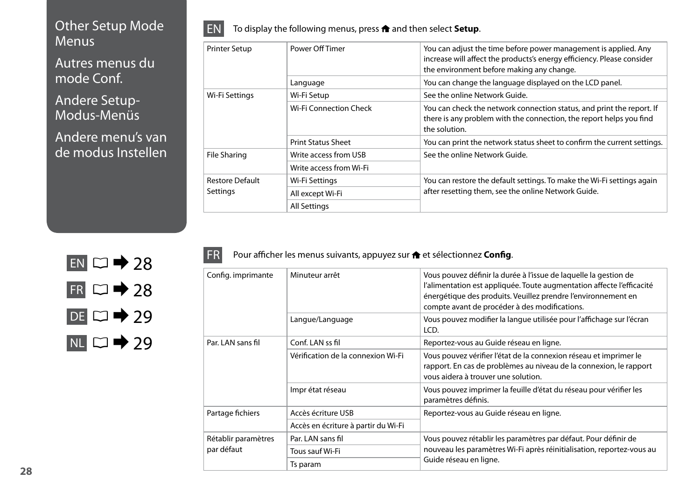#### <span id="page-27-0"></span>Other Setup Mode **Menus**

Autres menus du mode Conf.

Andere Setup-Modus-Menüs

Andere menu's van de modus Instellen



<span id="page-27-1"></span>

| <b>Printer Setup</b>   | Power Off Timer           | You can adjust the time before power management is applied. Any<br>increase will affect the products's energy efficiency. Please consider<br>the environment before making any change. |
|------------------------|---------------------------|----------------------------------------------------------------------------------------------------------------------------------------------------------------------------------------|
|                        | Language                  | You can change the language displayed on the LCD panel.                                                                                                                                |
| Wi-Fi Settings         | Wi-Fi Setup               | See the online Network Guide.                                                                                                                                                          |
|                        | Wi-Fi Connection Check    | You can check the network connection status, and print the report. If<br>there is any problem with the connection, the report helps you find<br>the solution.                          |
|                        | <b>Print Status Sheet</b> | You can print the network status sheet to confirm the current settings.                                                                                                                |
| <b>File Sharing</b>    | Write access from USB     | See the online Network Guide.                                                                                                                                                          |
|                        | Write access from Wi-Fi   |                                                                                                                                                                                        |
| <b>Restore Default</b> | Wi-Fi Settings            | You can restore the default settings. To make the Wi-Fi settings again                                                                                                                 |
| Settings               | All except Wi-Fi          | after resetting them, see the online Network Guide.                                                                                                                                    |
|                        | <b>All Settings</b>       |                                                                                                                                                                                        |



| FRI | Pour afficher les menus suivants, appuyez sur <b>formation and state config.</b> |
|-----|----------------------------------------------------------------------------------|
|     |                                                                                  |

<span id="page-27-2"></span>

| Config. imprimante                | Minuteur arrêt                      | Vous pouvez définir la durée à l'issue de laquelle la gestion de<br>l'alimentation est appliquée. Toute augmentation affecte l'efficacité<br>énergétique des produits. Veuillez prendre l'environnement en<br>compte avant de procéder à des modifications. |
|-----------------------------------|-------------------------------------|-------------------------------------------------------------------------------------------------------------------------------------------------------------------------------------------------------------------------------------------------------------|
|                                   | Langue/Language                     | Vous pouvez modifier la langue utilisée pour l'affichage sur l'écran<br>LCD.                                                                                                                                                                                |
| Par. LAN sans fil                 | Conf. LAN ss fil                    | Reportez-vous au Guide réseau en ligne.                                                                                                                                                                                                                     |
|                                   | Vérification de la connexion Wi-Fi  | Vous pouvez vérifier l'état de la connexion réseau et imprimer le<br>rapport. En cas de problèmes au niveau de la connexion, le rapport<br>vous aidera à trouver une solution.                                                                              |
|                                   | Imprétat réseau                     | Vous pouvez imprimer la feuille d'état du réseau pour vérifier les<br>paramètres définis.                                                                                                                                                                   |
| Partage fichiers                  | Accès écriture USB                  | Reportez-vous au Guide réseau en ligne.                                                                                                                                                                                                                     |
|                                   | Accès en écriture à partir du Wi-Fi |                                                                                                                                                                                                                                                             |
| Rétablir paramètres<br>par défaut | Par. LAN sans fil                   | Vous pouvez rétablir les paramètres par défaut. Pour définir de                                                                                                                                                                                             |
|                                   | Tous sauf Wi-Fi                     | nouveau les paramètres Wi-Fi après réinitialisation, reportez-vous au                                                                                                                                                                                       |
|                                   | Ts param                            | Guide réseau en ligne.                                                                                                                                                                                                                                      |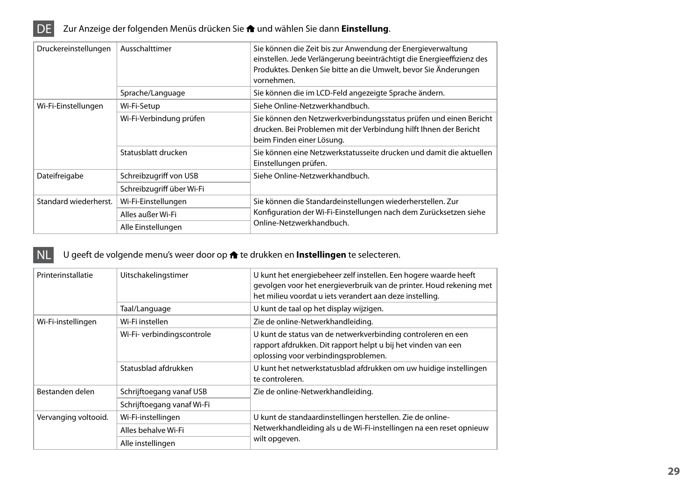

<span id="page-28-1"></span>

|  | Druckereinstellungen  | Ausschalttimer            | Sie können die Zeit bis zur Anwendung der Energieverwaltung<br>einstellen. Jede Verlängerung beeinträchtigt die Energieeffizienz des<br>Produktes. Denken Sie bitte an die Umwelt, bevor Sie Änderungen<br>vornehmen. |  |
|--|-----------------------|---------------------------|-----------------------------------------------------------------------------------------------------------------------------------------------------------------------------------------------------------------------|--|
|  |                       | Sprache/Language          | Sie können die im LCD-Feld angezeigte Sprache ändern.                                                                                                                                                                 |  |
|  | Wi-Fi-Einstellungen   | Wi-Fi-Setup               | Siehe Online-Netzwerkhandbuch.                                                                                                                                                                                        |  |
|  |                       | Wi-Fi-Verbindung prüfen   | Sie können den Netzwerkverbindungsstatus prüfen und einen Bericht<br>drucken. Bei Problemen mit der Verbindung hilft Ihnen der Bericht<br>beim Finden einer Lösung.                                                   |  |
|  |                       | Statusblatt drucken       | Sie können eine Netzwerkstatusseite drucken und damit die aktuellen<br>Einstellungen prüfen.                                                                                                                          |  |
|  | Dateifreigabe         | Schreibzugriff von USB    | Siehe Online-Netzwerkhandbuch.                                                                                                                                                                                        |  |
|  |                       | Schreibzugriff über Wi-Fi |                                                                                                                                                                                                                       |  |
|  | Standard wiederherst. | Wi-Fi-Einstellungen       | Sie können die Standardeinstellungen wiederherstellen. Zur                                                                                                                                                            |  |
|  |                       | Alles außer Wi-Fi         | Konfiguration der Wi-Fi-Einstellungen nach dem Zurücksetzen siehe                                                                                                                                                     |  |
|  |                       | Alle Einstellungen        | Online-Netzwerkhandbuch.                                                                                                                                                                                              |  |

#### NL U geeft de volgende menu's weer door op  $\bigtriangleup$  te drukken en **Instellingen** te selecteren.

<span id="page-28-0"></span>

| Printerinstallatie   | Uitschakelingstimer        | U kunt het energiebeheer zelf instellen. Een hogere waarde heeft<br>gevolgen voor het energieverbruik van de printer. Houd rekening met<br>het milieu voordat u iets verandert aan deze instelling. |
|----------------------|----------------------------|-----------------------------------------------------------------------------------------------------------------------------------------------------------------------------------------------------|
|                      | Taal/Language              | U kunt de taal op het display wijzigen.                                                                                                                                                             |
| Wi-Fi-instellingen   | Wi-Fi instellen            | Zie de online-Netwerkhandleiding.                                                                                                                                                                   |
|                      | Wi-Fi- verbindingscontrole | U kunt de status van de netwerkverbinding controleren en een<br>rapport afdrukken. Dit rapport helpt u bij het vinden van een<br>oplossing voor verbindingsproblemen.                               |
|                      | Statusblad afdrukken       | U kunt het netwerkstatusblad afdrukken om uw huidige instellingen<br>te controleren.                                                                                                                |
| Bestanden delen      | Schrijftoegang vanaf USB   | Zie de online-Netwerkhandleiding.                                                                                                                                                                   |
|                      | Schrijftoegang vanaf Wi-Fi |                                                                                                                                                                                                     |
| Vervanging voltooid. | Wi-Fi-instellingen         | U kunt de standaardinstellingen herstellen. Zie de online-                                                                                                                                          |
|                      | Alles behalve Wi-Fi        | Netwerkhandleiding als u de Wi-Fi-instellingen na een reset opnieuw                                                                                                                                 |
|                      | Alle instellingen          | wilt opgeven.                                                                                                                                                                                       |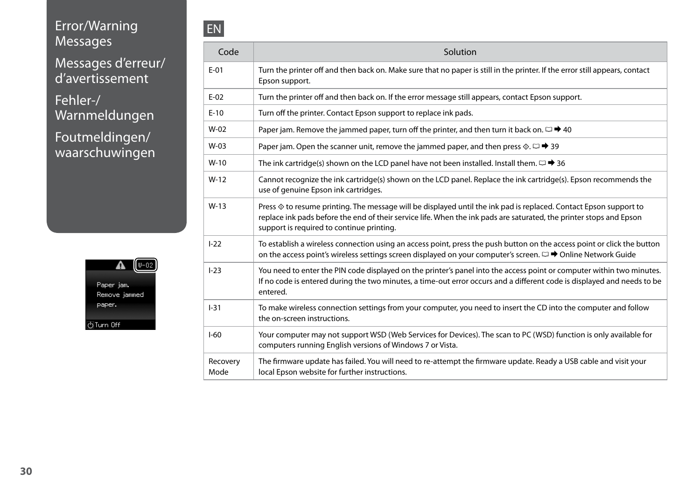### <span id="page-29-0"></span>Error/Warning **Messages**

Messages d'erreur/ d'avertissement

Fehler-/ Warnmeldungen

Foutmeldingen/ waarschuwingen



| Code             | Solution                                                                                                                                                                                                                                                                              |
|------------------|---------------------------------------------------------------------------------------------------------------------------------------------------------------------------------------------------------------------------------------------------------------------------------------|
| $E-01$           | Turn the printer off and then back on. Make sure that no paper is still in the printer. If the error still appears, contact<br>Epson support.                                                                                                                                         |
| $E-02$           | Turn the printer off and then back on. If the error message still appears, contact Epson support.                                                                                                                                                                                     |
| $E-10$           | Turn off the printer. Contact Epson support to replace ink pads.                                                                                                                                                                                                                      |
| $W-02$           | Paper jam. Remove the jammed paper, turn off the printer, and then turn it back on. $\Box \rightarrow 40$                                                                                                                                                                             |
| $W-03$           | Paper jam. Open the scanner unit, remove the jammed paper, and then press $\Diamond$ . $\Box \rightarrow 39$                                                                                                                                                                          |
| $W-10$           | The ink cartridge(s) shown on the LCD panel have not been installed. Install them. $\square \rightarrow 36$                                                                                                                                                                           |
| $W-12$           | Cannot recognize the ink cartridge(s) shown on the LCD panel. Replace the ink cartridge(s). Epson recommends the<br>use of genuine Epson ink cartridges.                                                                                                                              |
| $W-13$           | Press ♦ to resume printing. The message will be displayed until the ink pad is replaced. Contact Epson support to<br>replace ink pads before the end of their service life. When the ink pads are saturated, the printer stops and Epson<br>support is required to continue printing. |
| $1 - 22$         | To establish a wireless connection using an access point, press the push button on the access point or click the button<br>on the access point's wireless settings screen displayed on your computer's screen. □ → Online Network Guide                                               |
| $I-23$           | You need to enter the PIN code displayed on the printer's panel into the access point or computer within two minutes.<br>If no code is entered during the two minutes, a time-out error occurs and a different code is displayed and needs to be<br>entered.                          |
| $1 - 31$         | To make wireless connection settings from your computer, you need to insert the CD into the computer and follow<br>the on-screen instructions.                                                                                                                                        |
| $I-60$           | Your computer may not support WSD (Web Services for Devices). The scan to PC (WSD) function is only available for<br>computers running English versions of Windows 7 or Vista.                                                                                                        |
| Recovery<br>Mode | The firmware update has failed. You will need to re-attempt the firmware update. Ready a USB cable and visit your<br>local Epson website for further instructions.                                                                                                                    |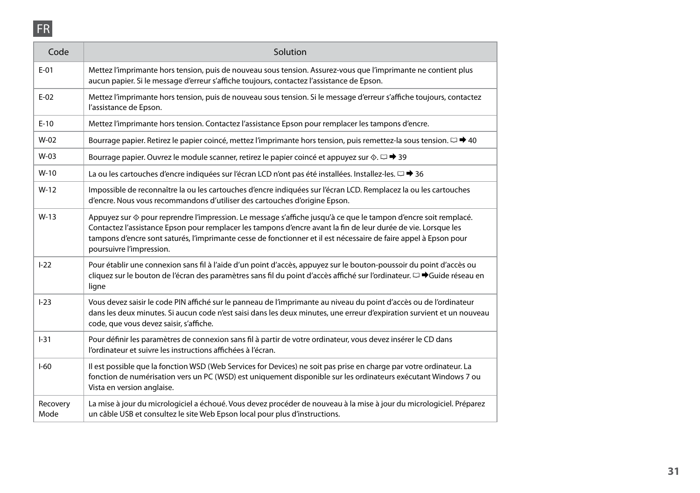## FR

| Code             | Solution                                                                                                                                                                                                                                                                                                                                                                                      |
|------------------|-----------------------------------------------------------------------------------------------------------------------------------------------------------------------------------------------------------------------------------------------------------------------------------------------------------------------------------------------------------------------------------------------|
| $E-01$           | Mettez l'imprimante hors tension, puis de nouveau sous tension. Assurez-vous que l'imprimante ne contient plus<br>aucun papier. Si le message d'erreur s'affiche toujours, contactez l'assistance de Epson.                                                                                                                                                                                   |
| $E-02$           | Mettez l'imprimante hors tension, puis de nouveau sous tension. Si le message d'erreur s'affiche toujours, contactez<br>l'assistance de Epson.                                                                                                                                                                                                                                                |
| $E-10$           | Mettez l'imprimante hors tension. Contactez l'assistance Epson pour remplacer les tampons d'encre.                                                                                                                                                                                                                                                                                            |
| $W-02$           | Bourrage papier. Retirez le papier coincé, mettez l'imprimante hors tension, puis remettez-la sous tension. $\Box \rightarrow 40$                                                                                                                                                                                                                                                             |
| $W-03$           | Bourrage papier. Ouvrez le module scanner, retirez le papier coincé et appuyez sur $\Diamond$ . $\Box \rightarrow 39$                                                                                                                                                                                                                                                                         |
| $W-10$           | La ou les cartouches d'encre indiquées sur l'écran LCD n'ont pas été installées. Installez-les. $\Box \rightarrow 36$                                                                                                                                                                                                                                                                         |
| $W-12$           | Impossible de reconnaître la ou les cartouches d'encre indiquées sur l'écran LCD. Remplacez la ou les cartouches<br>d'encre. Nous vous recommandons d'utiliser des cartouches d'origine Epson.                                                                                                                                                                                                |
| $W-13$           | Appuyez sur $\circledast$ pour reprendre l'impression. Le message s'affiche jusqu'à ce que le tampon d'encre soit remplacé.<br>Contactez l'assistance Epson pour remplacer les tampons d'encre avant la fin de leur durée de vie. Lorsque les<br>tampons d'encre sont saturés, l'imprimante cesse de fonctionner et il est nécessaire de faire appel à Epson pour<br>poursuivre l'impression. |
| $1 - 22$         | Pour établir une connexion sans fil à l'aide d'un point d'accès, appuyez sur le bouton-poussoir du point d'accès ou<br>cliquez sur le bouton de l'écran des paramètres sans fil du point d'accès affiché sur l'ordinateur. $\Box \blacktriangleright$ Guide réseau en<br>ligne                                                                                                                |
| $I-23$           | Vous devez saisir le code PIN affiché sur le panneau de l'imprimante au niveau du point d'accès ou de l'ordinateur<br>dans les deux minutes. Si aucun code n'est saisi dans les deux minutes, une erreur d'expiration survient et un nouveau<br>code, que vous devez saisir, s'affiche.                                                                                                       |
| $1 - 31$         | Pour définir les paramètres de connexion sans fil à partir de votre ordinateur, vous devez insérer le CD dans<br>l'ordinateur et suivre les instructions affichées à l'écran.                                                                                                                                                                                                                 |
| $1-60$           | Il est possible que la fonction WSD (Web Services for Devices) ne soit pas prise en charge par votre ordinateur. La<br>fonction de numérisation vers un PC (WSD) est uniquement disponible sur les ordinateurs exécutant Windows 7 ou<br>Vista en version anglaise.                                                                                                                           |
| Recovery<br>Mode | La mise à jour du micrologiciel a échoué. Vous devez procéder de nouveau à la mise à jour du micrologiciel. Préparez<br>un câble USB et consultez le site Web Epson local pour plus d'instructions.                                                                                                                                                                                           |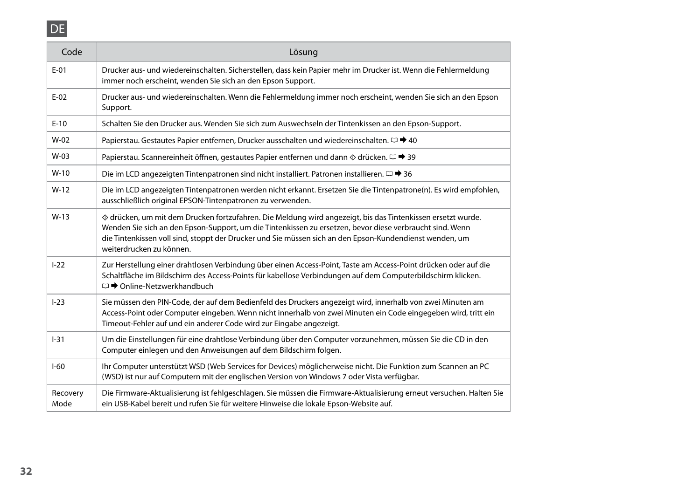## DE

| Code             | Lösung                                                                                                                                                                                                                                                                                                                                                         |
|------------------|----------------------------------------------------------------------------------------------------------------------------------------------------------------------------------------------------------------------------------------------------------------------------------------------------------------------------------------------------------------|
| $E-01$           | Drucker aus- und wiedereinschalten. Sicherstellen, dass kein Papier mehr im Drucker ist. Wenn die Fehlermeldung<br>immer noch erscheint, wenden Sie sich an den Epson Support.                                                                                                                                                                                 |
| $E-02$           | Drucker aus- und wiedereinschalten. Wenn die Fehlermeldung immer noch erscheint, wenden Sie sich an den Epson<br>Support.                                                                                                                                                                                                                                      |
| $E-10$           | Schalten Sie den Drucker aus. Wenden Sie sich zum Auswechseln der Tintenkissen an den Epson-Support.                                                                                                                                                                                                                                                           |
| $W-02$           | Papierstau. Gestautes Papier entfernen, Drucker ausschalten und wiedereinschalten. $\Box \rightarrow 40$                                                                                                                                                                                                                                                       |
| $W-03$           | Papierstau. Scannereinheit öffnen, gestautes Papier entfernen und dann $\Diamond$ drücken. $\Box \rightarrow 39$                                                                                                                                                                                                                                               |
| $W-10$           | Die im LCD angezeigten Tintenpatronen sind nicht installiert. Patronen installieren. $□$ → 36                                                                                                                                                                                                                                                                  |
| $W-12$           | Die im LCD angezeigten Tintenpatronen werden nicht erkannt. Ersetzen Sie die Tintenpatrone(n). Es wird empfohlen,<br>ausschließlich original EPSON-Tintenpatronen zu verwenden.                                                                                                                                                                                |
| $W-13$           | ◇ drücken, um mit dem Drucken fortzufahren. Die Meldung wird angezeigt, bis das Tintenkissen ersetzt wurde.<br>Wenden Sie sich an den Epson-Support, um die Tintenkissen zu ersetzen, bevor diese verbraucht sind. Wenn<br>die Tintenkissen voll sind, stoppt der Drucker und Sie müssen sich an den Epson-Kundendienst wenden, um<br>weiterdrucken zu können. |
| $1 - 22$         | Zur Herstellung einer drahtlosen Verbindung über einen Access-Point, Taste am Access-Point drücken oder auf die<br>Schaltfläche im Bildschirm des Access-Points für kabellose Verbindungen auf dem Computerbildschirm klicken.<br>□ → Online-Netzwerkhandbuch                                                                                                  |
| $1 - 23$         | Sie müssen den PIN-Code, der auf dem Bedienfeld des Druckers angezeigt wird, innerhalb von zwei Minuten am<br>Access-Point oder Computer eingeben. Wenn nicht innerhalb von zwei Minuten ein Code eingegeben wird, tritt ein<br>Timeout-Fehler auf und ein anderer Code wird zur Eingabe angezeigt.                                                            |
| $1 - 31$         | Um die Einstellungen für eine drahtlose Verbindung über den Computer vorzunehmen, müssen Sie die CD in den<br>Computer einlegen und den Anweisungen auf dem Bildschirm folgen.                                                                                                                                                                                 |
| $I-60$           | Ihr Computer unterstützt WSD (Web Services for Devices) möglicherweise nicht. Die Funktion zum Scannen an PC<br>(WSD) ist nur auf Computern mit der englischen Version von Windows 7 oder Vista verfügbar.                                                                                                                                                     |
| Recovery<br>Mode | Die Firmware-Aktualisierung ist fehlgeschlagen. Sie müssen die Firmware-Aktualisierung erneut versuchen. Halten Sie<br>ein USB-Kabel bereit und rufen Sie für weitere Hinweise die lokale Epson-Website auf.                                                                                                                                                   |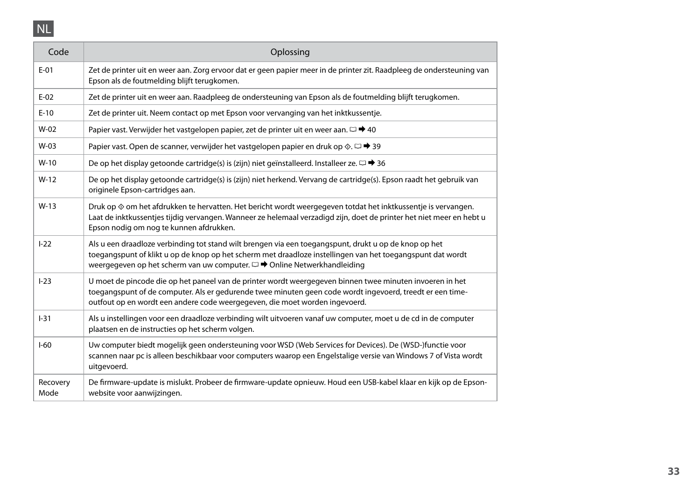

| Code             | Oplossing                                                                                                                                                                                                                                                                                               |
|------------------|---------------------------------------------------------------------------------------------------------------------------------------------------------------------------------------------------------------------------------------------------------------------------------------------------------|
| $E-01$           | Zet de printer uit en weer aan. Zorg ervoor dat er geen papier meer in de printer zit. Raadpleeg de ondersteuning van<br>Epson als de foutmelding blijft terugkomen.                                                                                                                                    |
| $E-02$           | Zet de printer uit en weer aan. Raadpleeg de ondersteuning van Epson als de foutmelding blijft terugkomen.                                                                                                                                                                                              |
| $E-10$           | Zet de printer uit. Neem contact op met Epson voor vervanging van het inktkussentje.                                                                                                                                                                                                                    |
| $W-02$           | Papier vast. Verwijder het vastgelopen papier, zet de printer uit en weer aan. $\Box \rightarrow 40$                                                                                                                                                                                                    |
| $W-03$           | Papier vast. Open de scanner, verwijder het vastgelopen papier en druk op $\Diamond \Box \rightarrow 39$                                                                                                                                                                                                |
| $W-10$           | De op het display getoonde cartridge(s) is (zijn) niet geïnstalleerd. Installeer ze. $\Box \rightarrow 36$                                                                                                                                                                                              |
| $W-12$           | De op het display getoonde cartridge(s) is (zijn) niet herkend. Vervang de cartridge(s). Epson raadt het gebruik van<br>originele Epson-cartridges aan.                                                                                                                                                 |
| $W-13$           | Druk op ♦ om het afdrukken te hervatten. Het bericht wordt weergegeven totdat het inktkussentje is vervangen.<br>Laat de inktkussentjes tijdig vervangen. Wanneer ze helemaal verzadigd zijn, doet de printer het niet meer en hebt u<br>Epson nodig om nog te kunnen afdrukken.                        |
| $I-22$           | Als u een draadloze verbinding tot stand wilt brengen via een toegangspunt, drukt u op de knop op het<br>toegangspunt of klikt u op de knop op het scherm met draadloze instellingen van het toegangspunt dat wordt<br>weergegeven op het scherm van uw computer. $\square$ → Online Netwerkhandleiding |
| $1 - 23$         | U moet de pincode die op het paneel van de printer wordt weergegeven binnen twee minuten invoeren in het<br>toegangspunt of de computer. Als er gedurende twee minuten geen code wordt ingevoerd, treedt er een time-<br>outfout op en wordt een andere code weergegeven, die moet worden ingevoerd.    |
| $1 - 31$         | Als u instellingen voor een draadloze verbinding wilt uitvoeren vanaf uw computer, moet u de cd in de computer<br>plaatsen en de instructies op het scherm volgen.                                                                                                                                      |
| $1-60$           | Uw computer biedt mogelijk geen ondersteuning voor WSD (Web Services for Devices). De (WSD-)functie voor<br>scannen naar pc is alleen beschikbaar voor computers waarop een Engelstalige versie van Windows 7 of Vista wordt<br>uitgevoerd.                                                             |
| Recovery<br>Mode | De firmware-update is mislukt. Probeer de firmware-update opnieuw. Houd een USB-kabel klaar en kijk op de Epson-<br>website voor aanwijzingen.                                                                                                                                                          |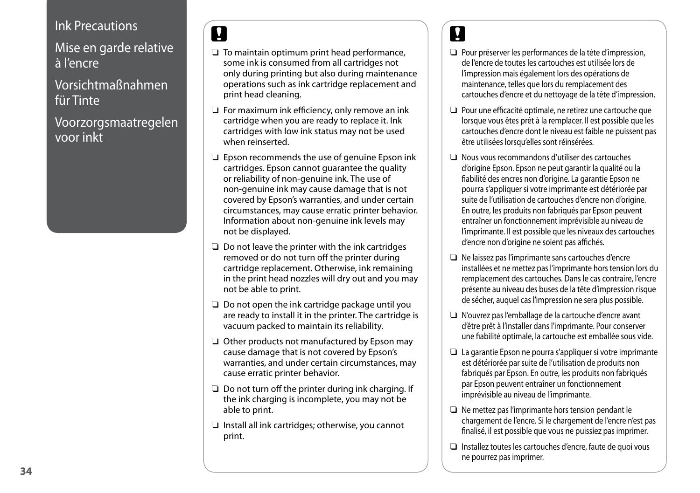#### <span id="page-33-1"></span><span id="page-33-0"></span>Ink Precautions

<span id="page-33-2"></span>Mise en garde relative à l'encre

<span id="page-33-3"></span>Vorsichtmaßnahmen für Tinte

<span id="page-33-4"></span>Voorzorgsmaatregelen voor inkt

## $\overline{\mathbf{v}}$

- $\Box$  To maintain optimum print head performance, some ink is consumed from all cartridges not only during printing but also during maintenance operations such as ink cartridge replacement and print head cleaning.
- □ For maximum ink efficiency, only remove an ink cartridge when you are ready to replace it. Ink cartridges with low ink status may not be used when reinserted.
- □ Epson recommends the use of genuine Epson ink cartridges. Epson cannot guarantee the quality or reliability of non-genuine ink. The use of non-genuine ink may cause damage that is not covered by Epson's warranties, and under certain circumstances, may cause erratic printer behavior. Information about non-genuine ink levels may not be displayed.
- $\Box$  Do not leave the printer with the ink cartridges removed or do not turn off the printer during cartridge replacement. Otherwise, ink remaining in the print head nozzles will dry out and you may not be able to print.
- □ Do not open the ink cartridge package until you are ready to install it in the printer. The cartridge is vacuum packed to maintain its reliability.
- □ Other products not manufactured by Epson may cause damage that is not covered by Epson's warranties, and under certain circumstances, may cause erratic printer behavior.
- $\Box$  Do not turn off the printer during ink charging. If the ink charging is incomplete, you may not be able to print.
- $\Box$  Install all ink cartridges; otherwise, you cannot print.

## **v**

- Pour préserver les performances de la tête d'impression, O de l'encre de toutes les cartouches est utilisée lors de l'impression mais également lors des opérations de maintenance, telles que lors du remplacement des cartouches d'encre et du nettoyage de la tête d'impression.
- **D** Pour une efficacité optimale, ne retirez une cartouche que lorsque vous êtes prêt à la remplacer. Il est possible que les cartouches d'encre dont le niveau est faible ne puissent pas être utilisées lorsqu'elles sont réinsérées.
- Nous vous recommandons d'utiliser des cartouches O d'origine Epson. Epson ne peut garantir la qualité ou la fiabilité des encres non d'origine. La garantie Epson ne pourra s'appliquer si votre imprimante est détériorée par suite de l'utilisation de cartouches d'encre non d'origine. En outre, les produits non fabriqués par Epson peuvent entraîner un fonctionnement imprévisible au niveau de l'imprimante. Il est possible que les niveaux des cartouches d'encre non d'origine ne soient pas affichés.
- Ne laissez pas l'imprimante sans cartouches d'encre O installées et ne mettez pas l'imprimante hors tension lors du remplacement des cartouches. Dans le cas contraire, l'encre présente au niveau des buses de la tête d'impression risque de sécher, auquel cas l'impression ne sera plus possible.
- N'ouvrez pas l'emballage de la cartouche d'encre avant O d'être prêt à l'installer dans l'imprimante. Pour conserver une fiabilité optimale, la cartouche est emballée sous vide.
- □ La garantie Epson ne pourra s'appliquer si votre imprimante est détériorée par suite de l'utilisation de produits non fabriqués par Epson. En outre, les produits non fabriqués par Epson peuvent entraîner un fonctionnement imprévisible au niveau de l'imprimante.
- □ Ne mettez pas l'imprimante hors tension pendant le chargement de l'encre. Si le chargement de l'encre n'est pas finalisé, il est possible que vous ne puissiez pas imprimer.
- □ Installez toutes les cartouches d'encre, faute de quoi vous ne pourrez pas imprimer.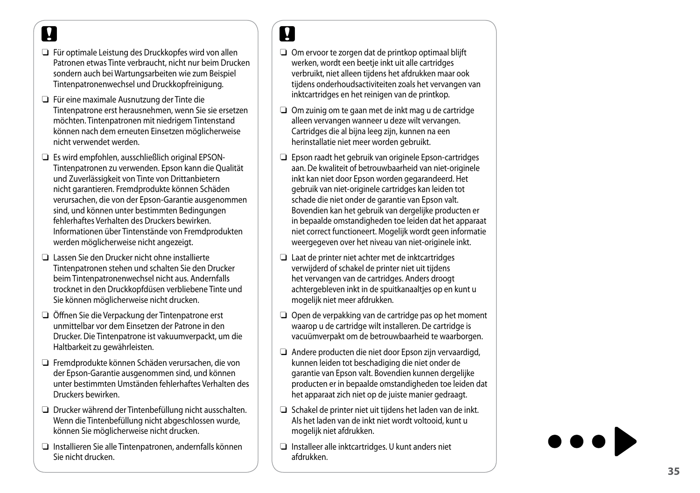## $\mathbf{\Omega}$

- Für optimale Leistung des Druckkopfes wird von allen Patronen etwas Tinte verbraucht, nicht nur beim Drucken sondern auch bei Wartungsarbeiten wie zum Beispiel Tintenpatronenwechsel und Druckkopfreinigung.
- Für eine maximale Ausnutzung der Tinte die Tintenpatrone erst herausnehmen, wenn Sie sie ersetzen möchten. Tintenpatronen mit niedrigem Tintenstand können nach dem erneuten Einsetzen möglicherweise nicht verwendet werden.
- Es wird empfohlen, ausschließlich original EPSON-Tintenpatronen zu verwenden. Epson kann die Qualität und Zuverlässigkeit von Tinte von Drittanbietern nicht garantieren. Fremdprodukte können Schäden verursachen, die von der Epson-Garantie ausgenommen sind, und können unter bestimmten Bedingungen fehlerhaftes Verhalten des Druckers bewirken. Informationen über Tintenstände von Fremdprodukten werden möglicherweise nicht angezeigt. ■ Für optimale Leist<br>
Patronen etwas Ti<br>
Patronen etwas Ti<br>
Sondern auch bei<br>
Tintenpatronenew<br>
■ Tintenpatrone ers<br>
möchten. Tintenpatrone<br>
können nach dem<br>
micht verwendet v<br>
■ Tintenpatronen zund Zuverlässigke<br>
nicht g
- Lassen Sie den Drucker nicht ohne installierte Tintenpatronen stehen und schalten Sie den Drucker beim Tintenpatronenwechsel nicht aus. Andernfalls trocknet in den Druckkopfdüsen verbliebene Tinte und Sie können möglicherweise nicht drucken.
- Öffnen Sie die Verpackung der Tintenpatrone erst unmittelbar vor dem Einsetzen der Patrone in den Drucker. Die Tintenpatrone ist vakuumverpackt, um die Haltbarkeit zu gewährleisten.
- Fremdprodukte können Schäden verursachen, die von der Epson-Garantie ausgenommen sind, und können unter bestimmten Umständen fehlerhaftes Verhalten des Druckers bewirken.
- Drucker während der Tintenbefüllung nicht ausschalten. Wenn die Tintenbefüllung nicht abgeschlossen wurde, können Sie möglicherweise nicht drucken.
- Installieren Sie alle Tintenpatronen, andernfalls können Sie nicht drucken

# $\overline{\mathbf{V}}$

- $\Box$  Om ervoor te zorgen dat de printkop optimaal blijft werken, wordt een beetje inkt uit alle cartridges verbruikt, niet alleen tijdens het afdrukken maar ook tijdens onderhoudsactiviteiten zoals het vervangen van inktcartridges en het reinigen van de printkop.
- $\Box$  Om zuinig om te gaan met de inkt mag u de cartridge alleen vervangen wanneer u deze wilt vervangen. Cartridges die al bijna leeg zijn, kunnen na een herinstallatie niet meer worden gebruikt.
- $\Box$  Epson raadt het gebruik van originele Epson-cartridges aan. De kwaliteit of betrouwbaarheid van niet-originele inkt kan niet door Epson worden gegarandeerd. Het gebruik van niet-originele cartridges kan leiden tot schade die niet onder de garantie van Epson valt. Bovendien kan het gebruik van dergelijke producten er in bepaalde omstandigheden toe leiden dat het apparaat niet correct functioneert. Mogelijk wordt geen informatie weergegeven over het niveau van niet-originele inkt. ■ Omervoor werbruikt, werbruikt, werbruikt, werbruikt, werbruikt, inktcartridges<br>
alleen vervouring<br>
alleen vervouring<br>
alleen vervouring<br>
ann. De kwikt kan ningebruik va schade die<br>
Bovendier in bepaald<br>
miet correce wee
- Laat de printer niet achter met de inktcartridges verwijderd of schakel de printer niet uit tijdens het vervangen van de cartridges. Anders droogt achtergebleven inkt in de spuitkanaaltjes op en kunt u mogelijk niet meer afdrukken.
- $\Box$  Open de verpakking van de cartridge pas op het moment waarop u de cartridge wilt installeren. De cartridge is vacuümverpakt om de betrouwbaarheid te waarborgen.
- Andere producten die niet door Epson zijn vervaardigd, kunnen leiden tot beschadiging die niet onder de garantie van Epson valt. Bovendien kunnen dergelijke producten er in bepaalde omstandigheden toe leiden dat het apparaat zich niet op de juiste manier gedraagt.
- $\Box$  Schakel de printer niet uit tijdens het laden van de inkt. Als het laden van de inkt niet wordt voltooid, kunt u mogelijk niet afdrukken.
- $\Box$  Installeer alle inktcartridges. U kunt anders niet afdrukken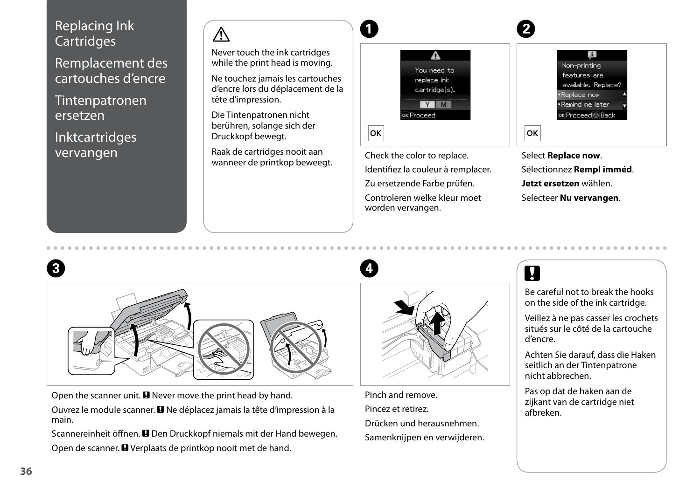#### <span id="page-35-1"></span><span id="page-35-0"></span>Replacing Ink **Cartridges**

<span id="page-35-2"></span>Remplacement des cartouches d'encre

<span id="page-35-3"></span>Tintenpatronen ersetzen

<span id="page-35-4"></span>Inktcartridges vervangen

## $\mathbb{A}$

Never touch the ink cartridges while the print head is moving.

Ne touchez jamais les cartouches d'encre lors du déplacement de la tête d'impression.

Die Tintenpatronen nicht berühren, solange sich der Druckkopf bewegt.

Raak de cartridges nooit aan wanneer de printkop beweegt.



Check the color to replace. Identifiez la couleur à remplacer. Zu ersetzende Farbe prüfen. Controleren welke kleur moet worden vervangen.







Open the scanner unit.  $\blacksquare$  Never move the print head by hand. Ouvrez le module scanner. **E** Ne déplacez jamais la tête d'impression à la main.

Scannereinheit öffnen. **D** Den Druckkopf niemals mit der Hand bewegen. Open de scanner. **E** Verplaats de printkop nooit met de hand.



 $\mathbf{A}$ 

Pinch and remove. Pincez et retirez. Drücken und herausnehmen. Samenknijpen en verwijderen.

## $\boldsymbol{\Omega}$

Be careful not to break the hooks on the side of the ink cartridge.

Veillez à ne pas casser les crochets situés sur le côté de la cartouche d'encre.

Achten Sie darauf, dass die Haken seitlich an der Tintenpatrone nicht abbrechen.

Pas op dat de haken aan de zijkant van de cartridge niet afbreken.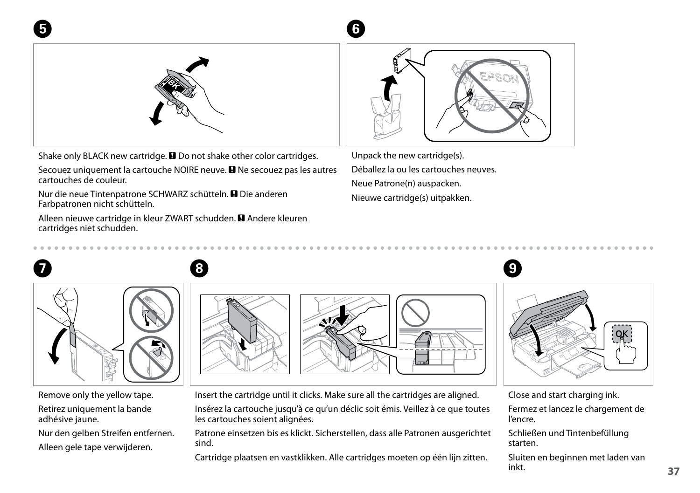

Shake only BLACK new cartridge.  $\square$  Do not shake other color cartridges.

Secouez uniquement la cartouche NOIRE neuve. <sup>D</sup> Ne secouez pas les autres cartouches de couleur.

Nur die neue Tintenpatrone SCHWARZ schütteln. **E** Die anderen Farbpatronen nicht schütteln.

Alleen nieuwe cartridge in kleur ZWART schudden. **D** Andere kleuren cartridges niet schudden.



Unpack the new cartridge(s). Déballez la ou les cartouches neuves. Neue Patrone(n) auspacken. Nieuwe cartridge(s) uitpakken.



 $6$ 

Remove only the yellow tape.

 $5<sup>1</sup>$ 

Retirez uniquement la bande adhésive jaune.

Nur den gelben Streifen entfernen. Alleen gele tape verwijderen.

Insert the cartridge until it clicks. Make sure all the cartridges are aligned.

Insérez la cartouche jusqu'à ce qu'un déclic soit émis. Veillez à ce que toutes les cartouches soient alignées.

Patrone einsetzen bis es klickt. Sicherstellen, dass alle Patronen ausgerichtet sind.

Cartridge plaatsen en vastklikken. Alle cartridges moeten op één lijn zitten.

Close and start charging ink.

Fermez et lancez le chargement de l'encre.

Schließen und Tintenbefüllung starten.

Sluiten en beginnen met laden van inkt.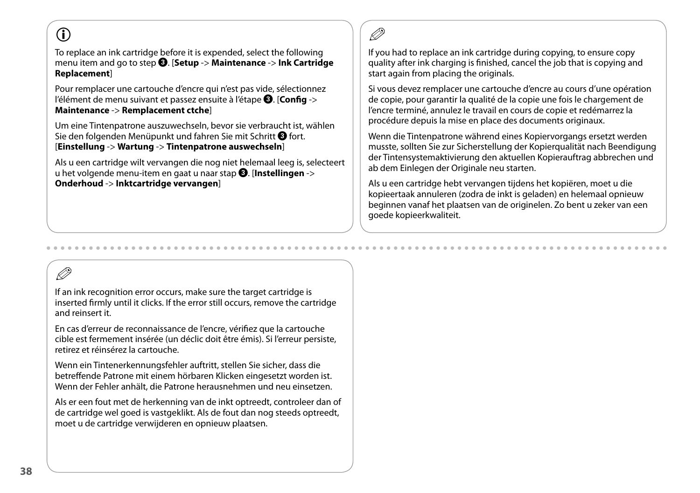## $\mathbf{r}$

To replace an ink cartridge before it is expended, select the following menu item and go to step C. [**Setup** -> **Maintenance** -> **Ink Cartridge Replacement**]

Pour remplacer une cartouche d'encre qui n'est pas vide, sélectionnez l'élément de menu suivant et passez ensuite à l'étape *O*. [Config -> **Maintenance** -> **Remplacement ctche**]

Um eine Tintenpatrone auszuwechseln, bevor sie verbraucht ist, wählen Sie den folgenden Menüpunkt und fahren Sie mit Schritt <sup>3</sup> fort. [**Einstellung** -> **Wartung** -> **Tintenpatrone auswechseln**]

Als u een cartridge wilt vervangen die nog niet helemaal leeg is, selecteert u het volgende menu-item en gaat u naar stap C. [**Instellingen** -> **Onderhoud** -> **Inktcartridge vervangen**]

## R)

If you had to replace an ink cartridge during copying, to ensure copy quality after ink charging is finished, cancel the job that is copying and start again from placing the originals.

Si vous devez remplacer une cartouche d'encre au cours d'une opération de copie, pour garantir la qualité de la copie une fois le chargement de l'encre terminé, annulez le travail en cours de copie et redémarrez la procédure depuis la mise en place des documents originaux.

Wenn die Tintenpatrone während eines Kopiervorgangs ersetzt werden musste, sollten Sie zur Sicherstellung der Kopierqualität nach Beendigung der Tintensystemaktivierung den aktuellen Kopierauftrag abbrechen und ab dem Einlegen der Originale neu starten.

Als u een cartridge hebt vervangen tijdens het kopiëren, moet u die kopieertaak annuleren (zodra de inkt is geladen) en helemaal opnieuw beginnen vanaf het plaatsen van de originelen. Zo bent u zeker van een goede kopieerkwaliteit.

## Q

If an ink recognition error occurs, make sure the target cartridge is inserted firmly until it clicks. If the error still occurs, remove the cartridge and reinsert it.

En cas d'erreur de reconnaissance de l'encre, vérifiez que la cartouche cible est fermement insérée (un déclic doit être émis). Si l'erreur persiste, retirez et réinsérez la cartouche.

Wenn ein Tintenerkennungsfehler auftritt, stellen Sie sicher, dass die betreffende Patrone mit einem hörbaren Klicken eingesetzt worden ist. Wenn der Fehler anhält, die Patrone herausnehmen und neu einsetzen.

Als er een fout met de herkenning van de inkt optreedt, controleer dan of de cartridge wel goed is vastgeklikt. Als de fout dan nog steeds optreedt, moet u de cartridge verwijderen en opnieuw plaatsen.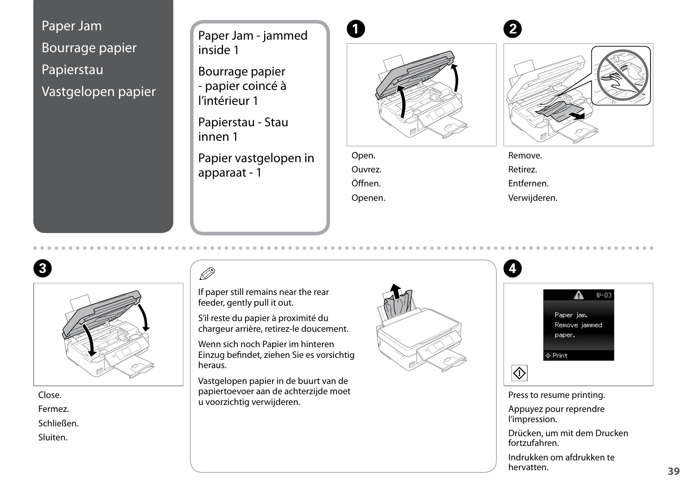<span id="page-38-0"></span>Paper Jam Bourrage papier Papierstau Vastgelopen papier

<span id="page-38-1"></span>Paper Jam - jammed inside 1

<span id="page-38-2"></span>Bourrage papier - papier coincé à l'intérieur 1

<span id="page-38-3"></span>Papierstau - Stau innen 1

<span id="page-38-4"></span>Papier vastgelopen in apparaat - 1



Open. Ouvrez. Öffnen. Openen.



Remove.

Retirez.

Entfernen.

Verwijderen.





Close. Fermez. Schließen. Sluiten.

## OS.

If paper still remains near the rear feeder, gently pull it out.

S'il reste du papier à proximité du chargeur arrière, retirez-le doucement.

Wenn sich noch Papier im hinteren Einzug befindet, ziehen Sie es vorsichtig heraus.

Vastgelopen papier in de buurt van de papiertoevoer aan de achterzijde moet u voorzichtig verwijderen.





Press to resume printing.

 $|\Diamond|$ 

Appuyez pour reprendre l'impression.

Drücken, um mit dem Drucken fortzufahren.

Indrukken om afdrukken te hervatten.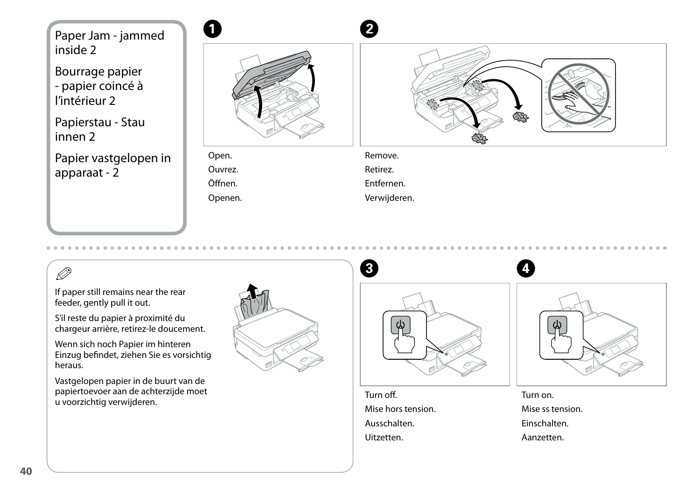<span id="page-39-0"></span>Paper Jam - jammed inside 2

<span id="page-39-1"></span>Bourrage papier - papier coincé à l'intérieur 2

<span id="page-39-2"></span>Papierstau - Stau innen 2

<span id="page-39-3"></span>Papier vastgelopen in apparaat - 2



Open. Ouvrez. Öffnen. Openen. Remove.

Retirez.

Entfernen.

Verwijderen.

If paper still remains near the rear feeder, gently pull it out.

S'il reste du papier à proximité du chargeur arrière, retirez-le doucement.

Wenn sich noch Papier im hinteren Einzug befindet, ziehen Sie es vorsichtig heraus.

Vastgelopen papier in de buurt van de papiertoevoer aan de achterzijde moet u voorzichtig verwijderen.





Turn off. Mise hors tension. Ausschalten. Uitzetten.

Turn on. Mise ss tension. Einschalten. Aanzetten.

A,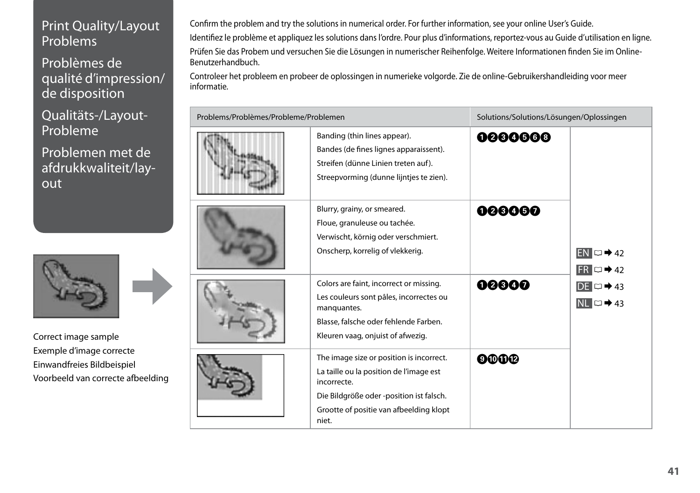### <span id="page-40-0"></span>Print Quality/Layout Problems

Problèmes de qualité d'impression/ de disposition

Qualitäts-/Layout-Probleme

Problemen met de afdrukkwaliteit/layout



Correct image sample Exemple d'image correcte Einwandfreies Bildbeispiel Voorbeeld van correcte afbeelding

Confirm the problem and try the solutions in numerical order. For further information, see your online User's Guide. Identifiez le problème et appliquez les solutions dans l'ordre. Pour plus d'informations, reportez-vous au Guide d'utilisation en ligne. Prüfen Sie das Probem und versuchen Sie die Lösungen in numerischer Reihenfolge. Weitere Informationen finden Sie im Online-Benutzerhandbuch.

Controleer het probleem en probeer de oplossingen in numerieke volgorde. Zie de online-Gebruikershandleiding voor meer informatie.

| Problems/Problèmes/Probleme/Problemen |                                                                                                                                                                                                    | Solutions/Solutions/Lösungen/Oplossingen |                              |
|---------------------------------------|----------------------------------------------------------------------------------------------------------------------------------------------------------------------------------------------------|------------------------------------------|------------------------------|
|                                       | Banding (thin lines appear).<br>Bandes (de fines lignes apparaissent).<br>Streifen (dünne Linien treten auf).<br>Streepvorming (dunne lijntjes te zien).                                           | 0000000                                  |                              |
|                                       | Blurry, grainy, or smeared.<br>Floue, granuleuse ou tachée.<br>Verwischt, körnig oder verschmiert.<br>Onscherp, korrelig of vlekkerig.                                                             | 000000                                   | $EN \Box 42$<br>$FR \Box 42$ |
|                                       | Colors are faint, incorrect or missing.<br>Les couleurs sont pâles, incorrectes ou<br>manquantes.<br>Blasse, falsche oder fehlende Farben.<br>Kleuren vaag, onjuist of afwezig.                    | 00000                                    | $DE \Box 43$<br>$NL \Box 43$ |
|                                       | The image size or position is incorrect.<br>La taille ou la position de l'image est<br>incorrecte.<br>Die Bildgröße oder -position ist falsch.<br>Grootte of positie van afbeelding klopt<br>niet. | <b>oooo</b>                              |                              |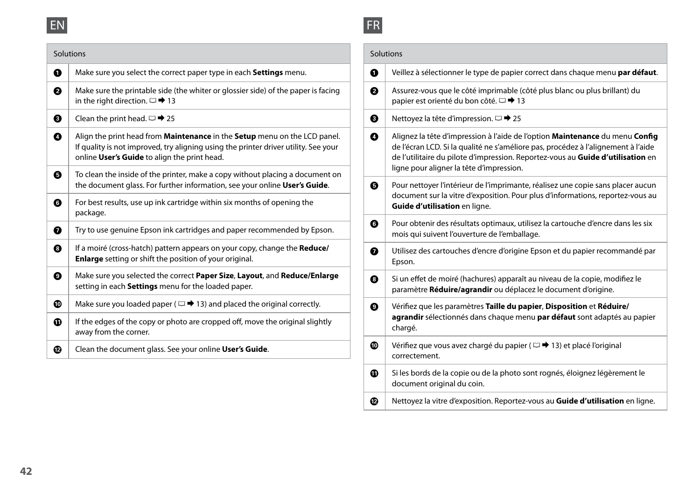<span id="page-41-0"></span>

|   | Solutions                                                                                                                                                                                                        |   | Solutions                                                                                                                                                                                                                                                                                        |
|---|------------------------------------------------------------------------------------------------------------------------------------------------------------------------------------------------------------------|---|--------------------------------------------------------------------------------------------------------------------------------------------------------------------------------------------------------------------------------------------------------------------------------------------------|
| 0 | Make sure you select the correct paper type in each Settings menu.                                                                                                                                               | ➊ | Veillez à sélectionner le type de papier correct dans chaque menu par défaut.                                                                                                                                                                                                                    |
| 0 | Make sure the printable side (the whiter or glossier side) of the paper is facing<br>in the right direction. $\Box \rightarrow 13$                                                                               | ❷ | Assurez-vous que le côté imprimable (côté plus blanc ou plus brillant) du<br>papier est orienté du bon côté. □ → 13                                                                                                                                                                              |
| ❸ | Clean the print head. $\Box \rightarrow 25$                                                                                                                                                                      | ❸ | Nettoyez la tête d'impression. $\Box$ → 25                                                                                                                                                                                                                                                       |
| ◐ | Align the print head from Maintenance in the Setup menu on the LCD panel.<br>If quality is not improved, try aligning using the printer driver utility. See your<br>online User's Guide to align the print head. | ◐ | Alignez la tête d'impression à l'aide de l'option Maintenance du menu Config<br>de l'écran LCD. Si la qualité ne s'améliore pas, procédez à l'alignement à l'aide<br>de l'utilitaire du pilote d'impression. Reportez-vous au Guide d'utilisation en<br>ligne pour aligner la tête d'impression. |
| ❺ | To clean the inside of the printer, make a copy without placing a document on<br>the document glass. For further information, see your online User's Guide.                                                      | ❺ | Pour nettoyer l'intérieur de l'imprimante, réalisez une copie sans placer aucun                                                                                                                                                                                                                  |
| ❻ | For best results, use up ink cartridge within six months of opening the<br>package.                                                                                                                              |   | document sur la vitre d'exposition. Pour plus d'informations, reportez-vous au<br>Guide d'utilisation en ligne.                                                                                                                                                                                  |
| ➊ | Try to use genuine Epson ink cartridges and paper recommended by Epson.                                                                                                                                          | ❻ | Pour obtenir des résultats optimaux, utilisez la cartouche d'encre dans les six<br>mois qui suivent l'ouverture de l'emballage.                                                                                                                                                                  |
| ❸ | If a moiré (cross-hatch) pattern appears on your copy, change the Reduce/<br>Enlarge setting or shift the position of your original.                                                                             | ➊ | Utilisez des cartouches d'encre d'origine Epson et du papier recommandé par<br>Epson.                                                                                                                                                                                                            |
| ◐ | Make sure you selected the correct Paper Size, Layout, and Reduce/Enlarge<br>setting in each Settings menu for the loaded paper.                                                                                 | ❸ | Si un effet de moiré (hachures) apparaît au niveau de la copie, modifiez le<br>paramètre Réduire/agrandir ou déplacez le document d'origine.                                                                                                                                                     |
| ◍ | Make sure you loaded paper ( $\Box \rightarrow 13$ ) and placed the original correctly.                                                                                                                          | ◉ | Vérifiez que les paramètres Taille du papier, Disposition et Réduire/                                                                                                                                                                                                                            |
| ❶ | If the edges of the copy or photo are cropped off, move the original slightly<br>away from the corner.                                                                                                           |   | agrandir sélectionnés dans chaque menu par défaut sont adaptés au papier<br>chargé.                                                                                                                                                                                                              |
| ® | Clean the document glass. See your online User's Guide.                                                                                                                                                          | ◍ | Vérifiez que vous avez chargé du papier ( $\Box$ + 13) et placé l'original<br>correctement.                                                                                                                                                                                                      |
|   |                                                                                                                                                                                                                  | ◍ | Si les bords de la copie ou de la photo sont rognés, éloignez légèrement le<br>document original du coin.                                                                                                                                                                                        |

<span id="page-41-1"></span>FR

 $\bigcirc$  Nettoyez la vitre d'exposition. Reportez-vous au **Guide d'utilisation** en ligne.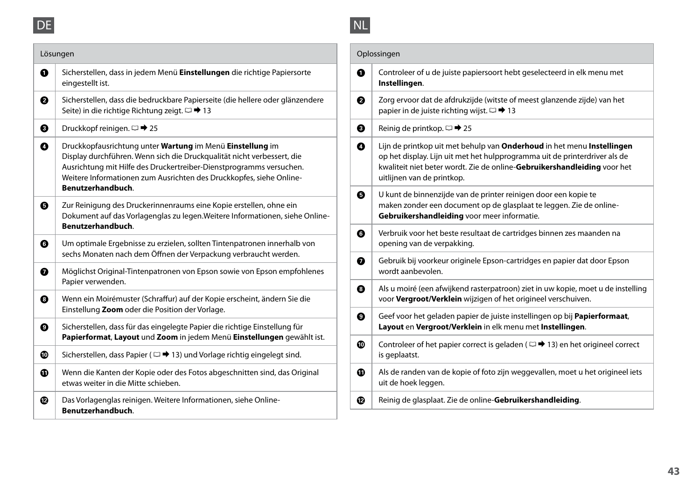<span id="page-42-0"></span>

<span id="page-42-1"></span>

| ۰ |  |
|---|--|
|   |  |

| Lösungen                                                                                                                                                                                                                                                                          |                                                                                                                                                                                                                   | Oplossingen                                                                                                                                                                                                                                                    |
|-----------------------------------------------------------------------------------------------------------------------------------------------------------------------------------------------------------------------------------------------------------------------------------|-------------------------------------------------------------------------------------------------------------------------------------------------------------------------------------------------------------------|----------------------------------------------------------------------------------------------------------------------------------------------------------------------------------------------------------------------------------------------------------------|
| Sicherstellen, dass in jedem Menü Einstellungen die richtige Papiersorte<br>eingestellt ist.                                                                                                                                                                                      | 0                                                                                                                                                                                                                 | Controleer of u de juiste papiersoort hebt geselecteerd in elk menu met<br>Instellingen.                                                                                                                                                                       |
| Sicherstellen, dass die bedruckbare Papierseite (die hellere oder glänzendere<br>Seite) in die richtige Richtung zeigt. □ → 13                                                                                                                                                    | ❷                                                                                                                                                                                                                 | Zorg ervoor dat de afdrukzijde (witste of meest glanzende zijde) van het<br>papier in de juiste richting wijst. $\Box$ → 13                                                                                                                                    |
| Druckkopf reinigen. $\Box$ → 25                                                                                                                                                                                                                                                   | ❸                                                                                                                                                                                                                 | Reinig de printkop. $\Box \rightarrow 25$                                                                                                                                                                                                                      |
| Druckkopfausrichtung unter Wartung im Menü Einstellung im<br>Display durchführen. Wenn sich die Druckqualität nicht verbessert, die<br>Ausrichtung mit Hilfe des Druckertreiber-Dienstprogramms versuchen.<br>Weitere Informationen zum Ausrichten des Druckkopfes, siehe Online- | ◐                                                                                                                                                                                                                 | Lijn de printkop uit met behulp van Onderhoud in het menu Instellingen<br>op het display. Lijn uit met het hulpprogramma uit de printerdriver als de<br>kwaliteit niet beter wordt. Zie de online-Gebruikershandleiding voor het<br>uitlijnen van de printkop. |
| Zur Reinigung des Druckerinnenraums eine Kopie erstellen, ohne ein<br>Dokument auf das Vorlagenglas zu legen. Weitere Informationen, siehe Online-                                                                                                                                | ❺                                                                                                                                                                                                                 | U kunt de binnenzijde van de printer reinigen door een kopie te<br>maken zonder een document op de glasplaat te leggen. Zie de online-<br>Gebruikershandleiding voor meer informatie.                                                                          |
|                                                                                                                                                                                                                                                                                   | ◶                                                                                                                                                                                                                 | Verbruik voor het beste resultaat de cartridges binnen zes maanden na<br>opening van de verpakking.                                                                                                                                                            |
| ◶<br>sechs Monaten nach dem Öffnen der Verpackung verbraucht werden.                                                                                                                                                                                                              |                                                                                                                                                                                                                   | Gebruik bij voorkeur originele Epson-cartridges en papier dat door Epson                                                                                                                                                                                       |
| Möglichst Original-Tintenpatronen von Epson sowie von Epson empfohlenes<br>➊                                                                                                                                                                                                      |                                                                                                                                                                                                                   | wordt aanbevolen.                                                                                                                                                                                                                                              |
| Wenn ein Moirémuster (Schraffur) auf der Kopie erscheint, ändern Sie die                                                                                                                                                                                                          | ❸                                                                                                                                                                                                                 | Als u moiré (een afwijkend rasterpatroon) ziet in uw kopie, moet u de instelling<br>voor Vergroot/Verklein wijzigen of het origineel verschuiven.                                                                                                              |
| ❸<br>Einstellung Zoom oder die Position der Vorlage.                                                                                                                                                                                                                              |                                                                                                                                                                                                                   | Geef voor het geladen papier de juiste instellingen op bij Papierformaat,                                                                                                                                                                                      |
| Sicherstellen, dass für das eingelegte Papier die richtige Einstellung für<br>◉                                                                                                                                                                                                   |                                                                                                                                                                                                                   | Layout en Vergroot/Verklein in elk menu met Instellingen.                                                                                                                                                                                                      |
| Sicherstellen, dass Papier ( $\Box \rightarrow 13$ ) und Vorlage richtig eingelegt sind.                                                                                                                                                                                          |                                                                                                                                                                                                                   | Controleer of het papier correct is geladen ( $\Box \rightarrow 13$ ) en het origineel correct<br>is geplaatst.                                                                                                                                                |
| Wenn die Kanten der Kopie oder des Fotos abgeschnitten sind, das Original<br>etwas weiter in die Mitte schieben.                                                                                                                                                                  | ◍                                                                                                                                                                                                                 | Als de randen van de kopie of foto zijn weggevallen, moet u het origineel iets<br>uit de hoek leggen.                                                                                                                                                          |
| Das Vorlagenglas reinigen. Weitere Informationen, siehe Online-<br>Benutzerhandbuch.                                                                                                                                                                                              | ®                                                                                                                                                                                                                 | Reinig de glasplaat. Zie de online-Gebruikershandleiding.                                                                                                                                                                                                      |
|                                                                                                                                                                                                                                                                                   | Benutzerhandbuch.<br>Benutzerhandbuch.<br>Um optimale Ergebnisse zu erzielen, sollten Tintenpatronen innerhalb von<br>Papier verwenden.<br>Papierformat, Layout und Zoom in jedem Menü Einstellungen gewählt ist. | 0<br>◐<br>◍                                                                                                                                                                                                                                                    |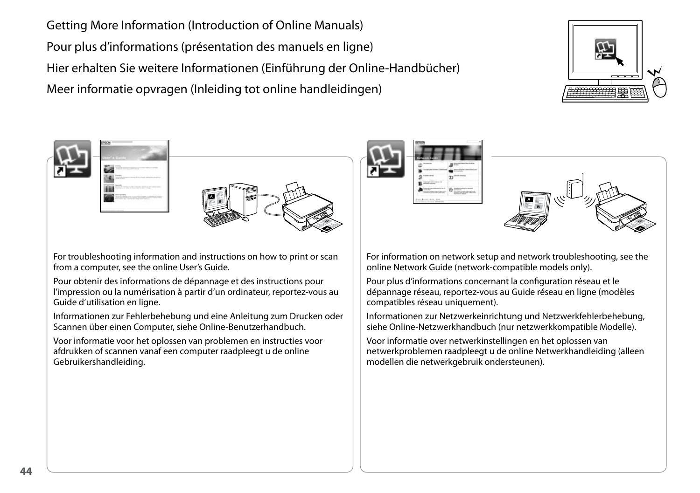<span id="page-43-4"></span><span id="page-43-2"></span><span id="page-43-1"></span><span id="page-43-0"></span>Getting More Information (Introduction of Online Manuals) Pour plus d'informations (présentation des manuels en ligne) Hier erhalten Sie weitere Informationen (Einführung der Online-Handbücher) Meer informatie opvragen (Inleiding tot online handleidingen)



<span id="page-43-3"></span>

For troubleshooting information and instructions on how to print or scan from a computer, see the online User's Guide.

Pour obtenir des informations de dépannage et des instructions pour l'impression ou la numérisation à partir d'un ordinateur, reportez-vous au Guide d'utilisation en ligne.

Informationen zur Fehlerbehebung und eine Anleitung zum Drucken oder Scannen über einen Computer, siehe Online-Benutzerhandbuch.

Voor informatie voor het oplossen van problemen en instructies voor afdrukken of scannen vanaf een computer raadpleegt u de online Gebruikershandleiding.





For information on network setup and network troubleshooting, see the online Network Guide (network-compatible models only).

Pour plus d'informations concernant la configuration réseau et le dépannage réseau, reportez-vous au Guide réseau en ligne (modèles compatibles réseau uniquement).

Informationen zur Netzwerkeinrichtung und Netzwerkfehlerbehebung, siehe Online-Netzwerkhandbuch (nur netzwerkkompatible Modelle).

Voor informatie over netwerkinstellingen en het oplossen van netwerkproblemen raadpleegt u de online Netwerkhandleiding (alleen modellen die netwerkgebruik ondersteunen).